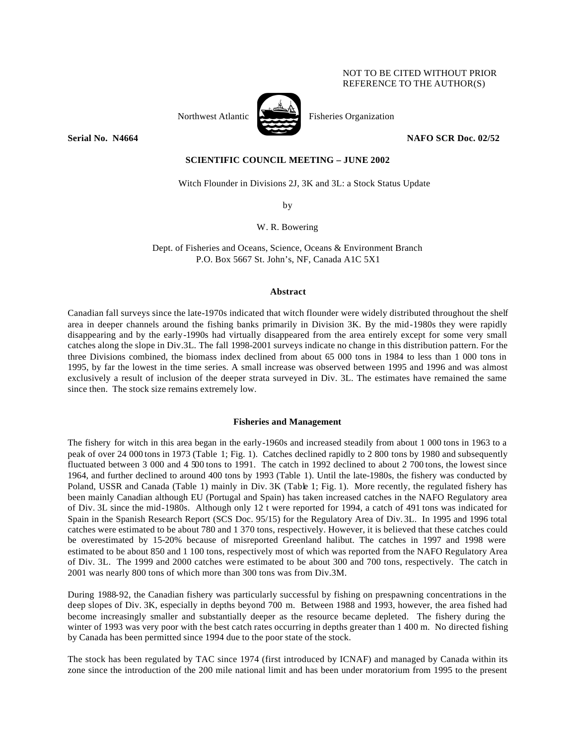## NOT TO BE CITED WITHOUT PRIOR REFERENCE TO THE AUTHOR(S)



Northwest Atlantic Fisheries Organization

**Serial No. 14664 NAFO SCR Doc. 02/52 NAFO SCR Doc. 02/52** 

# **SCIENTIFIC COUNCIL MEETING – JUNE 2002**

Witch Flounder in Divisions 2J, 3K and 3L: a Stock Status Update

by

W. R. Bowering

Dept. of Fisheries and Oceans, Science, Oceans & Environment Branch P.O. Box 5667 St. John's, NF, Canada A1C 5X1

## **Abstract**

Canadian fall surveys since the late-1970s indicated that witch flounder were widely distributed throughout the shelf area in deeper channels around the fishing banks primarily in Division 3K. By the mid-1980s they were rapidly disappearing and by the early-1990s had virtually disappeared from the area entirely except for some very small catches along the slope in Div.3L. The fall 1998-2001 surveys indicate no change in this distribution pattern. For the three Divisions combined, the biomass index declined from about 65 000 tons in 1984 to less than 1 000 tons in 1995, by far the lowest in the time series. A small increase was observed between 1995 and 1996 and was almost exclusively a result of inclusion of the deeper strata surveyed in Div. 3L. The estimates have remained the same since then. The stock size remains extremely low.

## **Fisheries and Management**

The fishery for witch in this area began in the early-1960s and increased steadily from about 1 000 tons in 1963 to a peak of over 24 000 tons in 1973 (Table 1; Fig. 1). Catches declined rapidly to 2 800 tons by 1980 and subsequently fluctuated between 3 000 and 4 500 tons to 1991. The catch in 1992 declined to about 2 700 tons, the lowest since 1964, and further declined to around 400 tons by 1993 (Table 1). Until the late-1980s, the fishery was conducted by Poland, USSR and Canada (Table 1) mainly in Div. 3K (Table 1; Fig. 1). More recently, the regulated fishery has been mainly Canadian although EU (Portugal and Spain) has taken increased catches in the NAFO Regulatory area of Div. 3L since the mid-1980s. Although only 12 t were reported for 1994, a catch of 491 tons was indicated for Spain in the Spanish Research Report (SCS Doc. 95/15) for the Regulatory Area of Div. 3L. In 1995 and 1996 total catches were estimated to be about 780 and 1 370 tons, respectively. However, it is believed that these catches could be overestimated by 15-20% because of misreported Greenland halibut. The catches in 1997 and 1998 were estimated to be about 850 and 1 100 tons, respectively most of which was reported from the NAFO Regulatory Area of Div. 3L. The 1999 and 2000 catches were estimated to be about 300 and 700 tons, respectively. The catch in 2001 was nearly 800 tons of which more than 300 tons was from Div.3M.

During 1988-92, the Canadian fishery was particularly successful by fishing on prespawning concentrations in the deep slopes of Div. 3K, especially in depths beyond 700 m. Between 1988 and 1993, however, the area fished had become increasingly smaller and substantially deeper as the resource became depleted. The fishery during the winter of 1993 was very poor with the best catch rates occurring in depths greater than 1400 m. No directed fishing by Canada has been permitted since 1994 due to the poor state of the stock.

The stock has been regulated by TAC since 1974 (first introduced by ICNAF) and managed by Canada within its zone since the introduction of the 200 mile national limit and has been under moratorium from 1995 to the present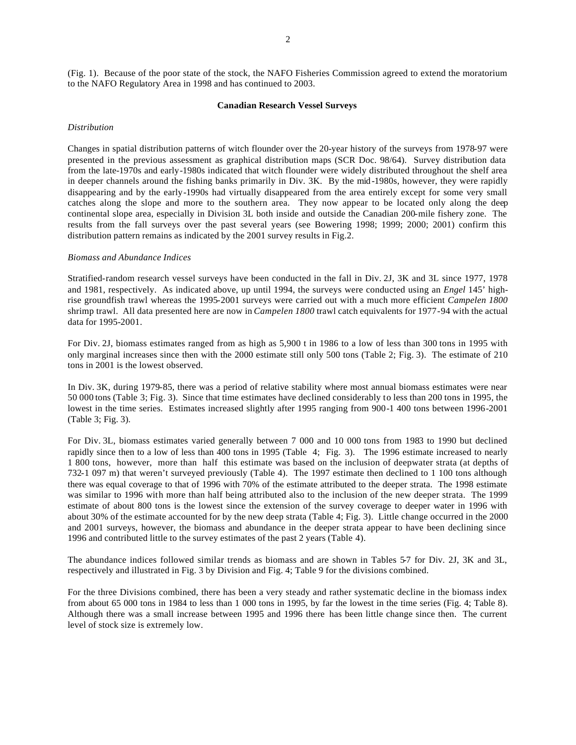(Fig. 1). Because of the poor state of the stock, the NAFO Fisheries Commission agreed to extend the moratorium to the NAFO Regulatory Area in 1998 and has continued to 2003.

#### **Canadian Research Vessel Surveys**

#### *Distribution*

Changes in spatial distribution patterns of witch flounder over the 20-year history of the surveys from 1978-97 were presented in the previous assessment as graphical distribution maps (SCR Doc. 98/64). Survey distribution data from the late-1970s and early-1980s indicated that witch flounder were widely distributed throughout the shelf area in deeper channels around the fishing banks primarily in Div. 3K. By the mid-1980s, however, they were rapidly disappearing and by the early-1990s had virtually disappeared from the area entirely except for some very small catches along the slope and more to the southern area. They now appear to be located only along the deep continental slope area, especially in Division 3L both inside and outside the Canadian 200-mile fishery zone. The results from the fall surveys over the past several years (see Bowering 1998; 1999; 2000; 2001) confirm this distribution pattern remains as indicated by the 2001 survey results in Fig.2.

#### *Biomass and Abundance Indices*

Stratified-random research vessel surveys have been conducted in the fall in Div. 2J, 3K and 3L since 1977, 1978 and 1981, respectively. As indicated above, up until 1994, the surveys were conducted using an *Engel* 145' highrise groundfish trawl whereas the 1995-2001 surveys were carried out with a much more efficient *Campelen 1800* shrimp trawl. All data presented here are now in *Campelen 1800* trawl catch equivalents for 1977-94 with the actual data for 1995-2001.

For Div. 2J, biomass estimates ranged from as high as 5,900 t in 1986 to a low of less than 300 tons in 1995 with only marginal increases since then with the 2000 estimate still only 500 tons (Table 2; Fig. 3). The estimate of 210 tons in 2001 is the lowest observed.

In Div. 3K, during 1979-85, there was a period of relative stability where most annual biomass estimates were near 50 000 tons (Table 3; Fig. 3). Since that time estimates have declined considerably to less than 200 tons in 1995, the lowest in the time series. Estimates increased slightly after 1995 ranging from 900-1 400 tons between 1996-2001 (Table 3; Fig. 3).

For Div. 3L, biomass estimates varied generally between 7 000 and 10 000 tons from 1983 to 1990 but declined rapidly since then to a low of less than 400 tons in 1995 (Table 4; Fig. 3). The 1996 estimate increased to nearly 1 800 tons, however, more than half this estimate was based on the inclusion of deepwater strata (at depths of 732-1 097 m) that weren't surveyed previously (Table 4). The 1997 estimate then declined to 1 100 tons although there was equal coverage to that of 1996 with 70% of the estimate attributed to the deeper strata. The 1998 estimate was similar to 1996 with more than half being attributed also to the inclusion of the new deeper strata. The 1999 estimate of about 800 tons is the lowest since the extension of the survey coverage to deeper water in 1996 with about 30% of the estimate accounted for by the new deep strata (Table 4; Fig. 3). Little change occurred in the 2000 and 2001 surveys, however, the biomass and abundance in the deeper strata appear to have been declining since 1996 and contributed little to the survey estimates of the past 2 years (Table 4).

The abundance indices followed similar trends as biomass and are shown in Tables 5-7 for Div. 2J, 3K and 3L, respectively and illustrated in Fig. 3 by Division and Fig. 4; Table 9 for the divisions combined.

For the three Divisions combined, there has been a very steady and rather systematic decline in the biomass index from about 65 000 tons in 1984 to less than 1 000 tons in 1995, by far the lowest in the time series (Fig. 4; Table 8). Although there was a small increase between 1995 and 1996 there has been little change since then. The current level of stock size is extremely low.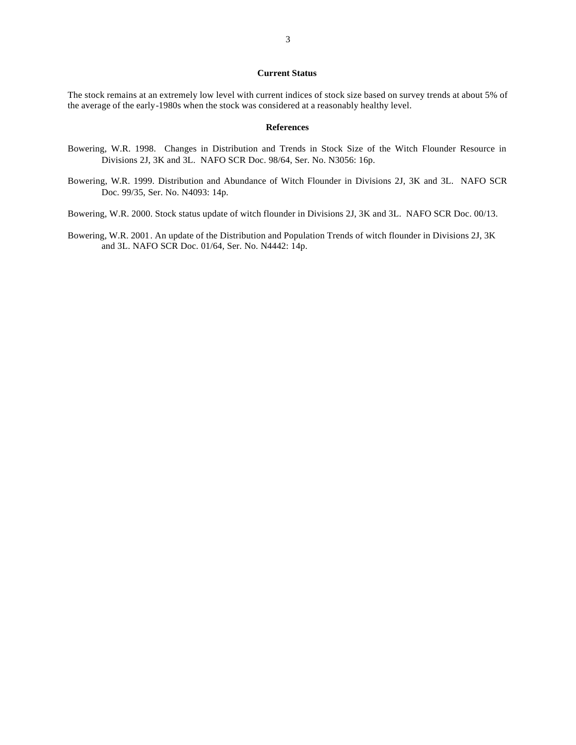## **Current Status**

The stock remains at an extremely low level with current indices of stock size based on survey trends at about 5% of the average of the early-1980s when the stock was considered at a reasonably healthy level.

## **References**

- Bowering, W.R. 1998. Changes in Distribution and Trends in Stock Size of the Witch Flounder Resource in Divisions 2J, 3K and 3L. NAFO SCR Doc. 98/64, Ser. No. N3056: 16p.
- Bowering, W.R. 1999. Distribution and Abundance of Witch Flounder in Divisions 2J, 3K and 3L. NAFO SCR Doc. 99/35, Ser. No. N4093: 14p.

Bowering, W.R. 2000. Stock status update of witch flounder in Divisions 2J, 3K and 3L. NAFO SCR Doc. 00/13.

Bowering, W.R. 2001. An update of the Distribution and Population Trends of witch flounder in Divisions 2J, 3K and 3L. NAFO SCR Doc. 01/64, Ser. No. N4442: 14p.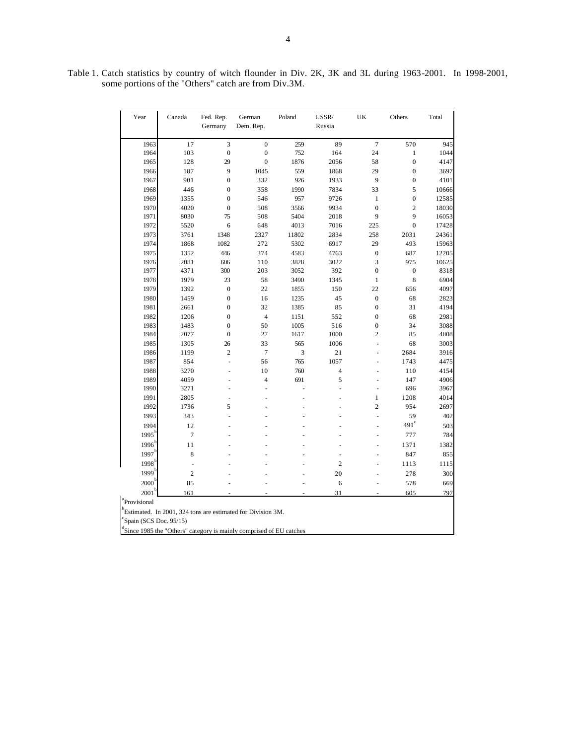Table 1. Catch statistics by country of witch flounder in Div. 2K, 3K and 3L during 1963-2001. In 1998-2001, some portions of the "Others" catch are from Div.3M.

| Year                     | Canada         | Fed. Rep.        | German                                                                          | Poland | $\ensuremath{\mathsf{USSR}}\xspace$ | UK               | Others           | Total |
|--------------------------|----------------|------------------|---------------------------------------------------------------------------------|--------|-------------------------------------|------------------|------------------|-------|
|                          |                | Germany          | Dem. Rep.                                                                       |        | Russia                              |                  |                  |       |
| 1963                     | 17             | 3                | $\boldsymbol{0}$                                                                | 259    | 89                                  | $\boldsymbol{7}$ | 570              | 945   |
| 1964                     | 103            | $\mathbf{0}$     | $\mathbf{0}$                                                                    | 752    | 164                                 | 24               | $\mathbf{1}$     | 1044  |
| 1965                     | 128            | 29               | $\mathbf{0}$                                                                    | 1876   | 2056                                | 58               | $\mathbf{0}$     | 4147  |
| 1966                     | 187            | 9                | 1045                                                                            | 559    | 1868                                | 29               | $\mathbf{0}$     | 3697  |
| 1967                     | 901            | $\boldsymbol{0}$ | 332                                                                             | 926    | 1933                                | 9                | $\mathbf{0}$     | 4101  |
| 1968                     | 446            | $\mathbf{0}$     | 358                                                                             | 1990   | 7834                                | 33               | 5                | 10666 |
| 1969                     | 1355           | $\mathbf{0}$     | 546                                                                             | 957    | 9726                                | $\mathbf{1}$     | $\mathbf{0}$     | 12585 |
| 1970                     | 4020           | $\mathbf{0}$     | 508                                                                             | 3566   | 9934                                | $\overline{0}$   | $\overline{c}$   | 18030 |
| 1971                     | 8030           | 75               | 508                                                                             | 5404   | 2018                                | 9                | 9                | 16053 |
| 1972                     | 5520           | 6                | 648                                                                             | 4013   | 7016                                | 225              | $\mathbf{0}$     | 17428 |
| 1973                     | 3761           | 1348             | 2327                                                                            | 11802  | 2834                                | 258              | 2031             | 24361 |
| 1974                     | 1868           | 1082             | 272                                                                             | 5302   | 6917                                | 29               | 493              | 15963 |
| 1975                     | 1352           | 446              | 374                                                                             | 4583   | 4763                                | $\boldsymbol{0}$ | 687              | 12205 |
| 1976                     | 2081           | 606              | 110                                                                             | 3828   | 3022                                | 3                | 975              | 10625 |
| 1977                     | 4371           | 300              | 203                                                                             | 3052   | 392                                 | $\mathbf{0}$     | $\boldsymbol{0}$ | 8318  |
| 1978                     | 1979           | 23               | 58                                                                              | 3490   | 1345                                | $\mathbf{1}$     | 8                | 6904  |
| 1979                     | 1392           | $\boldsymbol{0}$ | 22                                                                              | 1855   | 150                                 | 22               | 656              | 4097  |
| 1980                     | 1459           | $\mathbf{0}$     | 16                                                                              | 1235   | 45                                  | $\mathbf{0}$     | 68               | 2823  |
| 1981                     | 2661           | $\mathbf{0}$     | 32                                                                              | 1385   | 85                                  | $\mathbf{0}$     | 31               | 4194  |
| 1982                     | 1206           | $\mathbf{0}$     | $\overline{\mathbf{4}}$                                                         | 1151   | 552                                 | $\overline{0}$   | 68               | 2981  |
| 1983                     | 1483           | $\boldsymbol{0}$ | 50                                                                              | 1005   | 516                                 | $\mathbf{0}$     | 34               | 3088  |
| 1984                     | 2077           | $\boldsymbol{0}$ | 27                                                                              | 1617   | 1000                                | $\overline{c}$   | 85               | 4808  |
| 1985                     | 1305           | 26               | 33                                                                              | 565    | 1006                                | L,               | 68               | 3003  |
| 1986                     | 1199           | $\overline{c}$   | $\tau$                                                                          | 3      | 21                                  |                  | 2684             | 3916  |
| 1987                     | 854            | L,               | 56                                                                              | 765    | 1057                                |                  | 1743             | 4475  |
| 1988                     | 3270           |                  | 10                                                                              | 760    | $\overline{4}$                      |                  | 110              | 4154  |
| 1989                     | 4059           |                  | $\overline{\mathcal{L}}$                                                        | 691    | 5                                   |                  | 147              | 4906  |
| 1990                     | 3271           |                  |                                                                                 |        | L.                                  | L,               | 696              | 3967  |
| 1991                     | 2805           |                  |                                                                                 |        |                                     | $\mathbf{1}$     | 1208             | 4014  |
| 1992                     | 1736           | 5                |                                                                                 |        |                                     | $\overline{c}$   | 954              | 2697  |
| 1993                     | 343            |                  |                                                                                 |        |                                     | L                | 59               | 402   |
| 1994                     | 12             |                  |                                                                                 |        |                                     |                  | $491^\circ$      | 503   |
| 1995                     | $\tau$         |                  |                                                                                 |        |                                     | L,               | 777              | 784   |
| 1996                     | 11             |                  |                                                                                 |        |                                     |                  | 1371             | 1382  |
| 1997                     | 8              |                  |                                                                                 |        |                                     |                  | 847              | 855   |
| 1998                     | ä,             |                  |                                                                                 |        | $\overline{c}$                      |                  | 1113             | 1115  |
| 1999                     | $\overline{c}$ |                  |                                                                                 |        | 20                                  |                  | 278              | 300   |
| 2000                     | 85             |                  |                                                                                 |        | 6                                   |                  | 578              | 669   |
| 2001                     | 161            |                  |                                                                                 |        | 31                                  |                  | 605              | 797   |
| <sup>a</sup> Provisional |                |                  |                                                                                 |        |                                     |                  |                  |       |
|                          |                |                  | $^{b}$ Estimated. In 2001, 324 tons are estimated for Division 3M.              |        |                                     |                  |                  |       |
| Spain (SCS Doc. 95/15)   |                |                  |                                                                                 |        |                                     |                  |                  |       |
|                          |                |                  | <sup>d</sup> Since 1985 the "Others" category is mainly comprised of EU catches |        |                                     |                  |                  |       |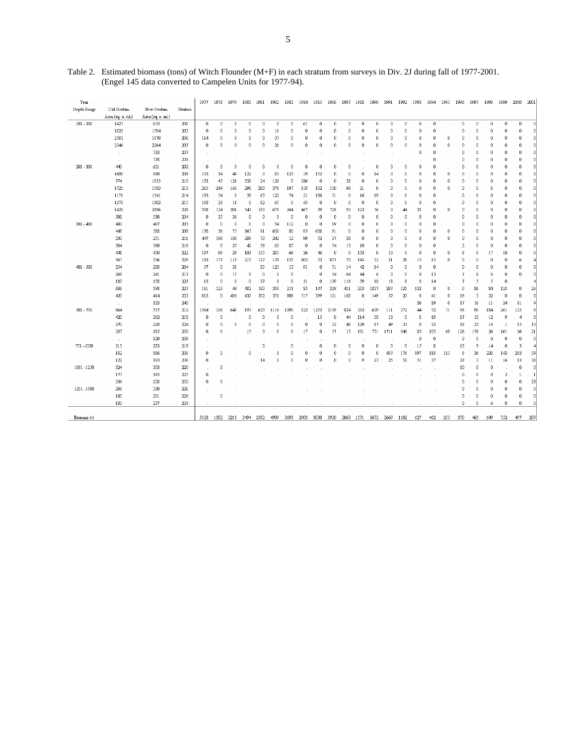| Year        |                   |                   |         | 1977         | 1978     | 1979     | 1980           | 1981     | 1982 | 1983     | 1984        | 1985         | 1986        | 1987        | 1988 | 1990         | 1991     | 1992           | 1993       | 1994           | 1995     | 1996           | 1997     | 1998     | 1999         | 2000           | 2001           |
|-------------|-------------------|-------------------|---------|--------------|----------|----------|----------------|----------|------|----------|-------------|--------------|-------------|-------------|------|--------------|----------|----------------|------------|----------------|----------|----------------|----------|----------|--------------|----------------|----------------|
| Depth Range | Old Stratum       | New Stratum       | Stratum |              |          |          |                |          |      |          |             |              |             |             |      |              |          |                |            |                |          |                |          |          |              |                |                |
|             | Area (sq. n. mi.) | Area (sq. n. mi.) |         |              |          |          |                |          |      |          |             |              |             |             |      |              |          |                |            |                |          |                |          |          |              |                |                |
| $101 - 200$ | 1427              | 633               | 201     | $\mathbf{0}$ | 0        | $\theta$ | $\overline{0}$ | $\theta$ | 0    | $\theta$ | 61          | 0            | 0           | $\mathbf 0$ | 0    | $\mathbf{0}$ | $\theta$ | $\Omega$       | $\theta$   | $\mathbf 0$    |          | $\mathbf{0}$   | $\theta$ | 0        | $\mathbf 0$  | $\theta$       | $\Omega$       |
|             | 1823              | 1594              | 205     | 0            | n        | 0        | 0              | 0        | 11   | n        | 0           | n            | n           | 0           | 0    | n            | 0        | n              | 0          | n              |          | 0              | $\Omega$ | 0        | 0            | 0              | -n.            |
|             | 2582              | 1870              | 206     | 114          | 0        | 0        | $\mathbf 0$    | $\theta$ | 37   | 0        | 0           | 0            | $\theta$    | 0           | 0    | 0            | 0        | n              | $\theta$   | 0              | $\theta$ | $\theta$       | 0        | 0        | $\mathbf 0$  | $\bf{0}$       | $\Omega$       |
|             | 2246              | 2264              | 207     | 0            | $\Omega$ | 0        | $\overline{0}$ | 0        | 21   | 0        | $\mathbf 0$ | $\Omega$     | $\Omega$    | $\mathbf 0$ | 0    | $\mathbf 0$  | 0        | $\Omega$       | 0          | n              | $\theta$ | 0              | n        | 0        | 0            | 0              | $\Omega$       |
|             | $\alpha$          | 733               | 237     |              |          |          |                |          |      |          |             |              |             |             |      |              |          |                | 0          | n              |          | 0              | n        | 0        | n            | 0              | 0              |
|             | $\alpha$          | 778               | 238     |              |          |          |                |          |      |          |             |              |             |             |      |              |          |                |            | 0              |          | 0              | 0        | 0        | $\theta$     | $\bf{0}$       | n              |
| $201 - 300$ | 440               | 621               | 202     | 0            | $\Omega$ | $\Omega$ | $\Omega$       | $\Omega$ | 0    | $\Omega$ | $\mathbf 0$ | $\mathbf 0$  | $\Omega$    | $\Omega$    |      | $\Omega$     | 0        | 0              | 0          | 0              |          | 0              | 0        | $\Omega$ | $\Omega$     | $\mathbb 0$    | $\Omega$       |
|             | 1608              | 680               | 209     | 103          | 14       | 48       | 122            | 0        | 83   | 123      | 19          | 152          | 0           | n           | 0    | 14           | 0        | n              | 0          | 0              | $\theta$ | 0              | 0        | 0        | 0            | 0              | n              |
|             | 774               | 1035              | 210     | 133          | 45       | 121      | 338            | 24       | 129  | 0        | 286         | 0            | 0           | 38          | 0    | 0            | 0        | n              | 0          | 0              | 0        | 0              | 0        | 0        | 0            | 0              | n              |
|             | 1725              | 1583              | 213     | 265          | 249      | 160      | 298            | 280      | 371  | 197      | 118         | 102          | 130         | 98          | 21   | 0            | 0        | 0              | $\theta$   | 0              | 0        | 0              | 0        | 8        | $\Omega$     | $\mathbf 0$    | $\Omega$       |
|             | 1171              | 1341              | 214     | 193          | 54       | 0        | 58             | 65       | 122  | 74       | 21          | 106          | 71          | $\mathbf 0$ | 16   | 19           | 0        | $\mathbf 0$    | 0          | 0              |          | 0              | 0        | 0        | $\mathbf 0$  | 0              | $\Omega$       |
|             | 1270              | 1302              | 215     | 193          | 33       | 11       | 0              | 82       | 67   | 0        | 45          | $\mathbf{0}$ | 0           | 0           | 0    | 0            | 0        | 0              | 0          | 0              |          | 0              | 0        | 0        | $\theta$     | 0              | 0              |
|             | 1428              | 2196              | 228     | 508          | 134      | 301      | 543            | 183      | 678  | 264      | 467         | 79           | 728         | 93          | 123  | 76           | $\bf{0}$ | 44             | 35         | 0              | $\theta$ | 0              | 0        | 0        | $\theta$     | $\bf{0}$       | $^{\circ}$     |
|             | 508               | 530               | 234     | 0            | 35       | 36       | $\bf{0}$       | 0        | 0    | 0        | $\mathbf 0$ | $\mathbf 0$  | $\mathbf 0$ | $\mathbf 0$ | 0    | $\mathbf 0$  | 0        | $\Omega$       | 0          | $\Omega$       |          | $\Omega$       | $\Omega$ | 0        | $\mathbf 0$  | $\mathbb 0$    | $\Omega$       |
| $301 - 400$ | 480               | 487               | 203     | 0            | 0        | 0        | $\mathbf 0$    | n        | 54   | 112      | 0           | 0            | 19          | n           | 0    | 0            | 0        | n              | 0          | n              |          | n              | n        | 0        | n            | 0              | n              |
|             | 448               | 588               | 208     | 178          | 36       | 75       | 367            | 91       | 638  | 80       | 95          | 608          | 91          | 0           | 0    | n            | 0        | n              | $\bf{0}$   | 0              | $\theta$ | 0              | 0        | 0        | 0            | $\bf 0$        | $\overline{0}$ |
|             | 330               | 251               | 211     | 447          | 198      | 100      | 289            | 70       | 242  | 12       | 99          | 72           | 27          | 38          | 0    | $\mathbf 0$  | 0        | 0              | 0          | 0              | 0        | 0              | 0        | 0        | $\mathbf 0$  | 0              | n              |
|             | 384               | 360               | 216     | 0            | 0        | 27       | 42             | 56       | 63   | 85       | 0           | $\theta$     | 54          | 13          | 10   | 0            | 0        | n              | 0          | 0              |          | $\overline{a}$ | n        | 0        | 0            | 0              | n              |
|             | 441               | 450               | 222     | 197          | 99       | 29       | 103            | 155      | 285  | 69       | 26          | 46           | 0           | 0           | 173  | 0            | 10       | 0              | 0          | 0              | 0        | 6              | 0        | 17       | 10           | 0              | -n.            |
|             | 567               | 536               | 229     | 183          | 177      | 118      | 215            | 127      | 139  | 155      | 103         | 52           | 857         | 70          | 145  | 32           | 31       | 28             | 15         | 13             | $\theta$ | 0              | 0        | 0        | $\theta$     | 6              |                |
| 401 - 500   | 354               | 288               | 204     | 57           | 0        | 38       |                | 85       | 125  | 13       | 91          | $\mathbf 0$  | 71          | 14          | 42   | 14           | 0        | $\Omega$       | 0          | 0              |          | 0              | 0        | 0        | $\mathbf 0$  | $\mathbf 0$    | n              |
|             | 268               | 241               | 217     | 0            | 0        | 15       | 0              | 0        | 0    | 0        |             | 0            | 54          | 64          | 44   | 6            | 0        | n              | 0          | 13             |          | 7              | 8        | 6        | 0            | 0              | 0              |
|             | 180               | 158               | 223     | 13           | 0        | 0        | $\bf{0}$       | 37       | 0    | $\theta$ | 31          | $\mathbf{0}$ | 139         | 116         | 59   | 18           | 18       | 8              | 8          | 14             |          | 7              | 5        | 5        | $\mathbf 0$  |                |                |
|             | 686               | 598               | 227     | 161          | 123      | 44       | 482            | 180      | 358  | 211      | 85          | 147          | 329         | 411         | 203  | 1837         | 207      | 125            | 132        | 0              | $\theta$ | 0              | 86       | 84       | 125          | 0              | 26             |
|             | 420               | 414               | 235     | 813          | $\Omega$ | 456      | 430            | 502      | 371  | 908      | 517         | 399          | 121         | 168         | 0    | 149          | 37       | 20             | $\sqrt{ }$ | 41             | 0        | 16             | 3        | 22       | $\mathbf 0$  | $\mathbb O$    | $\overline{0}$ |
|             | $\sim$            | 133               | 240     |              |          |          |                |          |      |          |             |              |             |             |      |              |          |                | 36         | 19             | $\theta$ | 17             | 16       | 11       | 24           | 11             | 9              |
| 501 - 750   | 664               | 557               | 212     | 1564         | 106      | 640      | 193            | 630      | 1116 | 1390     | 822         | 1253         | 3139        | 834         | 392  | 639          | 111      | 272            | 44         | 52             | 71       | 96             | 90       | 184      | 261          | 125            |                |
|             | 420               | 362               | 218     | 0            | 0        |          | $\mathbf 0$    | O        | Ω    | n        |             | 15           | n           | 44          | 114  | 58           | 13       | $\Omega$       | 8          | 19             |          | 17             | 10       | 12       | 9            | $\overline{4}$ | $\overline{0}$ |
|             | 270               | 228               | 224     | 0            | n        | 0        | 0              | 0        | n    | n        | 0           | 0            | 32          | 48          | 120  | 17           | 49       | 33             | 0          | 23             |          | 18             | 23       | 16       | $\mathbf{1}$ | 15             | 13             |
|             | 237               | 185               | 230     | 0            | 0        |          | 15             | $\bf{0}$ | 0    | 0        | 17          | 0            | 57          | 15          | 101  | 771          | 1711     | 346            | 85         | 105            | 69       | 126            | 176      | 26       | 161          | 36             | 21             |
|             | $\sim$            | 120               | 239     |              |          |          |                |          |      |          |             |              |             |             |      |              |          |                | $\theta$   | $\overline{0}$ |          | 0              | 0        | 0        | $\mathbf 0$  | $\bf{0}$       | $\overline{0}$ |
| 751-1000    | 213               | 283               | 219     | $\sim$       |          |          |                | 0        |      | 0        |             | $\Omega$     | $\mathbf 0$ | $\Omega$    | 0    | $\Omega$     | 0        | $\overline{0}$ | 15         | 8              |          | 13             | 9        | 14       | $\mathbf 0$  | 3              | $\overline{4}$ |
|             | 182               | 186               | 231     | 0            | 0        |          | 0              |          | 0    | 0        | 0           | 0            | $\theta$    | 0           | 0    | 0            | 457      | 176            | 197        | 118            | 115      | 6              | 36       | 228      | 143          | 283            | 59             |
|             | 122               | 193               | 236     | 0            |          |          |                | 14       | n    | $\theta$ | $\mathbf 0$ | $\theta$     | $\theta$    | n           | 9    | 23           | 25       | 51             | 51         | 37             |          | 28             | 3        | 11       | 16           | 13             | 38             |
| 1001 -1250  | 324               | 303               | 220     |              | $\Omega$ |          |                |          |      |          |             |              |             |             |      |              |          |                |            |                |          | 10             | $\Omega$ | 0        |              | $\mathbb O$    | $\Omega$       |
|             | 177               | 195               | 225     | 0            |          |          |                |          |      |          |             |              |             |             |      |              |          |                |            |                |          | 0              | n        | 0        | $\sqrt{2}$   | $\mathbf{1}$   | $\mathbf{1}$   |
|             | 236               | 228               | 232     | 0            | $\bf{0}$ |          |                |          |      |          |             |              |             |             |      |              |          |                |            |                |          | 0              | 0        | 0        | n            | 0              | 23             |
| 1251 - 1500 | 286               | 330               | 221     |              |          |          |                |          |      |          |             |              |             |             |      |              |          |                |            |                |          | 0              | 0        | 0        | $\Omega$     | $\bf{0}$       | $\Omega$       |
|             | 180               | 201               | 226     | $\sim$       | 0        |          |                |          |      |          |             |              |             |             |      |              |          |                |            |                |          | 0              | 0        | 0        | 0            | 0              | $\mathsf{n}$   |
|             | 180               | 237               | 233     |              |          |          |                |          |      |          |             |              |             |             |      |              |          |                |            |                |          | 0              | 0        | 6        | 0            | 0              | 0              |
|             |                   |                   |         |              |          |          |                |          |      |          |             |              |             |             |      |              |          |                |            |                |          |                |          |          |              |                |                |
| Biomass (t) |                   |                   |         | 5123         | 1302     | 2218     | 3494 2582      |          | 4909 | 3693     | 2903        | 3030         | 5920        | 2063 1571   |      | 3672         | 2669     | 1102           | 627        | 462            | 255      | 370            | 465      | 649      | 752          | 497            | 209            |

Table 2. Estimated biomass (tons) of Witch Flounder (M+F) in each stratum from surveys in Div. 2J during fall of 1977-2001. (Engel 145 data converted to Campelen Units for 1977-94).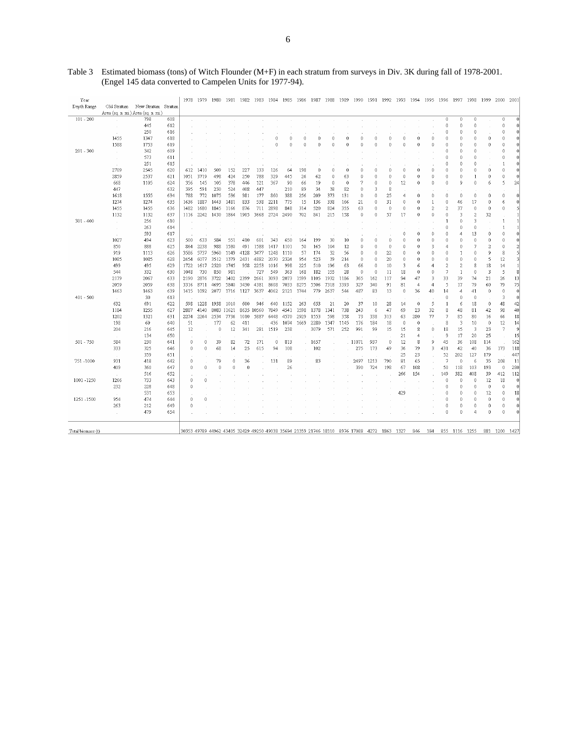| Year              |                                     |                                 |     | 1978            | 1979     | 1980         | 1981 1982  |      | 1983       | 1984        | 1985 | 1986 | 1987     | 1988     | 1989     | 1990 1991 |                                                                                        | 1992        | 1993 1994      |            | 1995           | 1996                     | 1997          | 1998           | 1999                 | 2000         | 2001     |
|-------------------|-------------------------------------|---------------------------------|-----|-----------------|----------|--------------|------------|------|------------|-------------|------|------|----------|----------|----------|-----------|----------------------------------------------------------------------------------------|-------------|----------------|------------|----------------|--------------------------|---------------|----------------|----------------------|--------------|----------|
| Depth Range       |                                     | Old Stratum New Stratum Stratum |     |                 |          |              |            |      |            |             |      |      |          |          |          |           |                                                                                        |             |                |            |                |                          |               |                |                      |              |          |
|                   | Area (sq. n. mi.) Area (sq. n. mi.) |                                 |     |                 |          |              |            |      |            |             |      |      |          |          |          |           |                                                                                        |             |                |            |                |                          |               |                |                      |              |          |
| $101 - 200$       |                                     | 798                             | 608 |                 |          |              |            |      |            |             |      |      |          |          |          |           |                                                                                        |             |                |            |                | $\theta$                 | 0             | $\theta$       |                      | 0            |          |
|                   |                                     | 445                             | 612 |                 |          |              |            |      |            |             |      |      |          |          |          |           |                                                                                        |             |                |            |                | 0                        | 0             | $\Omega$       |                      | 0            |          |
|                   |                                     | 250                             | 616 |                 |          |              |            |      |            |             |      |      |          |          |          |           |                                                                                        |             |                |            |                | 0                        | 0             | $\theta$       |                      | 0            |          |
|                   | 1455                                | 1347                            | 618 |                 |          |              |            |      |            | 0           | 0    | 0    | 0        | Û        | C        |           | 0                                                                                      | C           | 0              | 0          | n              | 0                        | 0             | $\theta$       | $\theta$             | 0            |          |
|                   | 1588                                | 1753                            | 619 |                 |          |              |            |      |            | $\ddot{0}$  | 0    | 0    | $\theta$ | $\theta$ | 0        | $\Omega$  | $\theta$                                                                               | 0           | $\cap$         | $\theta$   | n              | $\theta$                 | 0             | $\Omega$       | $\theta$             | 0            |          |
| $201 - 300$       | $\lambda$                           | 342                             | 609 |                 |          |              |            |      |            |             |      |      |          |          |          |           |                                                                                        |             |                |            |                | $\theta$                 | 0             | $\theta$       |                      | 0            |          |
|                   |                                     | 573                             | 611 |                 |          |              |            |      |            |             |      |      |          |          |          |           |                                                                                        |             |                |            |                | $\Omega$                 | 0             | $\cap$         |                      | 0            |          |
|                   |                                     | 251                             | 615 |                 |          |              |            |      |            |             |      |      |          |          |          |           |                                                                                        |             |                |            |                | 0                        | 0             | $\theta$       |                      | $\mathbf{1}$ |          |
|                   | 2709                                | 2545                            | 620 | 612             | 1410     | 509          | 152        | 227  | 133        | 126         | 64   | 198  | $\theta$ | $\theta$ | 0        | n         | 0                                                                                      | 0           | $\theta$       | $\theta$   | 0              | 0                        | 0             | $\theta$       | $\theta$             | 0            |          |
|                   | 2859                                | 2537                            | 621 | 1051            | 3719     | 498          | 424        | 250  | 788        | 329         | 445  | 26   | 62       | $\theta$ | 63       | $\Omega$  | $\theta$                                                                               | $\theta$    | 0              | $\theta$   | n              | 0                        | 0             |                | $\mathbb O$          | 0            | n        |
|                   | 668                                 | 1105                            | 624 | 356             | 145      | 105          | 378        | 446  | 121        | 367         | 90   | 66   | 19       | $\theta$ | $\theta$ | 7         | 0                                                                                      | $\theta$    | 12             | 0          | n              | $\theta$                 | 9             | $\theta$       | 6                    | 5            | $^{24}$  |
|                   | 447                                 |                                 | 632 | 395             | 591      | 230          | 524        | 408  | 447        |             | 210  | 89   | 34       | 38       | 82       | $\theta$  | 3                                                                                      | 8           |                |            |                |                          |               |                |                      |              |          |
|                   | 1618                                | 1555                            | 634 | 788             | 772      | 1075         | 536        | 981  | 177        | 860         | 388  | 256  | 209      | 373      | 131      | $\theta$  | $\theta$                                                                               | 25          | $\overline{4}$ | $\ddot{0}$ | n              | 0                        | 0             | $\theta$       | $\theta$             | 0            |          |
|                   | 1274                                | 1274                            | 635 | 1636            | 1887     | 1443         | 1481       | 833  | 538        | 2211        | 775  | 15   | 136      | 338      | 166      | 21        | $\theta$                                                                               | 31          | 0              | $\theta$   | 1              | $\theta$                 | 46            | 17             | $\theta$             | 6            |          |
|                   | 1455                                | 1455                            | 636 | 1482            | 1680     | 1845         | 1166       | 876  | 711        | 2898        | 848  | 314  | 520      | 824      | 355      | 63        | 0                                                                                      | $\mathbb O$ | $\theta$       | $\hat{0}$  | $\overline{2}$ | $\overline{c}$           | 37            | $\theta$       | $\mathbb O$          | 0            |          |
|                   | 1132                                | 1132                            | 637 | 1116            | 2242     | 1430         | 1864       | 1905 | 3668       | 2724        | 2490 | 702  | 841      | 215      | 158      | $\theta$  | 0                                                                                      | 57          | 17             | 0          | 0              | $\theta$                 | 3             | $\overline{2}$ | 32                   |              |          |
| $301 - 400$       | $\lambda$                           | 256                             | 610 |                 |          |              |            |      |            |             |      |      |          |          |          |           |                                                                                        |             |                |            |                | -1                       | $\theta$      | 3              |                      | $\mathbf{1}$ |          |
|                   | a.                                  | 263                             | 614 |                 |          |              |            |      |            |             |      |      |          |          |          |           |                                                                                        |             |                |            |                | $\theta$                 | 0             | $\theta$       |                      | $\mathbf{1}$ |          |
|                   |                                     | 593                             | 617 |                 |          |              |            |      |            |             |      |      |          |          |          |           |                                                                                        |             | 0              | $\theta$   | 0              | $\mathbf 0$              | 4             | 13             | $\theta$             | 0            |          |
|                   | 1027                                | 494                             | 623 | 500             | 633      | 584          | 551        | 410  | 601        | 343         | 650  | 164  | 199      | 30       | 10       | $\Omega$  | $\theta$                                                                               | $\theta$    | $\theta$       | $\ddot{0}$ | $\theta$       | $\mathbb O$              | 0             | $\theta$       | $\theta$             | 0            |          |
|                   | 850                                 | 888                             | 625 | 864             | 2238     | 988          | 1580       | 491  | 1588       | 1417        | 1101 | 50   | 165      | 104      | 12       | $\theta$  | 0                                                                                      | $\theta$    | $\theta$       | $\theta$   | 3              | $\overline{4}$           | 0             | 7              | $\overline{2}$       | 0            |          |
|                   | 919                                 | 1113                            | 626 | 3586            | 5737     | 5960         | 1149       | 4128 | 3477       | 1248        | 1110 | 57   | 174      | 32       | 56       | $\theta$  | 0                                                                                      | 22          | $\theta$       | $\theta$   | n              | $\theta$                 | 1             | $\theta$       | 9                    | 8            |          |
|                   | 1085                                | 1085                            | 628 | 2454            | 6077     | 3512         | 1379       | 2431 | 4882       | 2070        | 2324 | 954  | 523      | 39       | 214      | $\theta$  | $\theta$                                                                               | 20          | $\mathbf{0}$   | $\bf{0}$   | n              | $\mathbf 0$              | $\mathbf 0$   | $\theta$       | 5                    | 12           |          |
|                   | 499                                 | 495                             | 629 | 1722            | 1617     | 2520         | 1745       | 958  | 2253       | 1016        | 998  | 225  | 510      | 196      | 63       | 66        | 0                                                                                      | 10          | 3              | 6          | 4              | $\overline{c}$           | $\mathbf 2$   | 8              | 18                   | 14           |          |
|                   | 544                                 | 332                             | 630 | 1048            | 730      | 850          | 981        |      | 727        | 549         | 363  | 168  | 182      | 155      | 28       | $\theta$  | $\ddot{\rm{o}}$                                                                        | 11          | 18             | $\bf{0}$   | $\theta$       | 7                        | $\mathbf{1}$  | $\theta$       | 3                    | 5            |          |
|                   | 2179                                | 2067                            | 633 | 2190            | 2876     | 3722         | 1402       | 2399 | 2661       | 3093        | 2073 | 1599 | 1105     | 1932     | 1186     | 365       | 162                                                                                    | 117         | 94             | 47         | 3              | 33                       | 39            | 74             | 21                   | 26           | 13       |
|                   | 2059                                | 2059                            | 638 | 3316            | 8711     | 4695         | 5840       | 3430 | 4381       | 8608        | 7033 | 8275 | 5506     | 7318     | 3393     | 327       | 340                                                                                    | 91          | 81             | 4          | 4              | 5                        | 17            | 79             | 60                   | 79           | 75       |
|                   | 1463                                | 1463                            | 639 | 1415            | 1092     | 2077         | 1716       | 1127 | 3637       | 4062        | 2121 | 1744 | 779      | 2637     | 544      | 487       | 83                                                                                     | 13          | $\mathbf{0}$   | 36         | 40             | 14                       | 4             | 41             | $\theta$             | $\mathbf 0$  | $\Omega$ |
| $401 - 500$       | $\sim$                              | 30                              | 613 |                 |          |              |            |      |            |             |      |      |          |          |          |           |                                                                                        |             |                |            |                | $\mathbf 0$              | 0             | $\mathbf{0}$   |                      | 3            |          |
|                   | 632                                 | 691                             | 622 | 598             | 1228     | 1938         | 1010       | 600  | 946        | 640         | 1152 | 263  | 653      | 21       | 20       | 37        | 10                                                                                     | 28          | 14             | $\theta$   | 5              | $\mathbf{1}$             | 6             | 18             | $\boldsymbol{0}$     | 48           | 42       |
|                   | 1184                                | 1255                            | 627 | 2887            | 4140     |              | 8083 11621 |      | 8635 10560 | 7849        | 4541 | 1598 | 1378     | 1341     | 738      | 243       | 6                                                                                      | 47          | 69             | 23         | 32             | 8                        | 48            | 81             | 42                   | 98           | 40       |
|                   | 1202                                | 1321                            | 631 | 2274            | 2264     | 2534         | 7736       | 1010 | 5887       | 6448        | 4570 | 2929 | 1553     | 598      | 358      | 73        | 338                                                                                    | 313         | 63             | 280        | 77             | 7                        | 85            | 80             | 16                   | 66           | 18       |
|                   | 198                                 | 69                              | 640 | 51              |          | 177          | 62         | 411  |            | 436         | 1074 | 1669 | 2280     | 1347     | 1145     | 176       | 184                                                                                    | 18          | $\mathbf{0}$   | $\theta$   |                | 8                        | 3             | 10             | $\theta$             | 12           | 14       |
|                   | 204                                 | 216                             | 645 | 12              |          | $\mathbf{0}$ | 12         | 341  | 281        | 1519        | 238  |      | 3079     | 571      | 252      | 991       | 99                                                                                     | 15          | 15             | 8          | $\bf{0}$       | 18                       | 15            | 3              | 23                   | 7            | $\circ$  |
|                   |                                     | 134                             | 650 |                 |          |              |            |      |            |             |      |      |          |          |          |           |                                                                                        |             | 21             | 4          |                | 9                        | 17            | 20             | 25                   |              | 15       |
| 501 - 750         | 584                                 | 230                             | 641 | 0               | 0        | 39           | 82         | 72   | 171        | $\mathbf 0$ | 813  |      | 1657     |          |          | . 11071   | 937                                                                                    | $\circ$     | 12             | 8          | 9              | 45                       | 36            | 108            | 114                  |              | 162      |
|                   | 333                                 | 325                             | 646 | 0               | $\theta$ | 68           | 14         | 25   | 615        | 94          | 108  |      | 102      |          |          | 275       | 173                                                                                    | 49          | 36             | 79         | 3              | 431                      | 42            | 40             | 36                   | 173          | 118      |
|                   |                                     | 359                             | 651 |                 |          |              |            |      |            |             |      |      |          |          |          |           |                                                                                        |             | 25             | 23         |                | 52                       | 202           | 127            | 179                  |              | 447      |
| 751-1000          | 931                                 | 418                             | 642 | 0               |          | 79           | 0          | 36   |            | 131         | 89   |      | 83       |          |          | 2497      | 1213                                                                                   | 790         | 81             | 65         |                | $\overline{\phantom{a}}$ | 0             | 6              | 35                   | 208          | 11       |
|                   | 409                                 | 360                             | 647 | $\ddot{\rm{o}}$ | $\Omega$ | $\theta$     | $\theta$   | 0    |            |             | 26   |      |          |          |          | 390       | 724                                                                                    | 198         | 67             | 108        |                | 50                       | 118           | 103            | 193                  | 0            | 280      |
|                   | $\sim$                              | 516                             | 652 |                 |          |              |            |      |            |             |      |      |          |          |          |           |                                                                                        |             | 266            | 154        |                | 149                      | 382           | 408            | 39                   | 412          | 112      |
| 1001-1250         | 1266                                | 733                             | 643 | 0               | $\Omega$ |              |            |      |            |             |      |      |          |          |          |           |                                                                                        |             |                |            |                | $\theta$                 | 0             | $\Omega$       | 12                   | 18           | $\theta$ |
|                   | 232                                 | 228                             | 648 | 0               |          |              |            |      |            |             |      |      |          |          |          |           |                                                                                        |             |                |            |                | 0                        | 0             | $\Omega$       | $\theta$             | 0            | 0        |
|                   |                                     | 531                             | 653 |                 |          |              |            |      |            |             |      |      |          |          |          |           |                                                                                        |             | 429            |            |                | $\theta$                 | 0             | $\cup$         | 12                   | 0            | 18       |
| 1251 - 1500       | 954                                 | 474                             | 644 | 0               |          |              |            |      |            |             |      |      |          |          |          |           |                                                                                        |             |                |            |                | $\theta$                 | 0             | $\theta$       | $\ddot{\phantom{0}}$ | 0            |          |
|                   | 263                                 | 212                             | 649 | 0               |          |              |            |      |            |             |      |      |          |          |          |           |                                                                                        |             |                |            |                | 0                        | 0             | $\cup$         | $\theta$             | 0            |          |
|                   | $\sim$                              | 479                             | 654 |                 |          |              |            |      |            |             |      |      |          |          |          |           |                                                                                        |             |                |            |                | $\theta$                 | 0             | $\overline{4}$ | $\theta$             | 0            |          |
|                   |                                     |                                 |     |                 |          |              |            |      |            |             |      |      |          |          |          |           |                                                                                        |             |                |            |                |                          |               |                |                      |              |          |
|                   |                                     |                                 |     |                 |          |              |            |      |            |             |      |      |          |          |          |           |                                                                                        |             |                |            |                |                          |               |                |                      |              |          |
| Total biomass (t) |                                     |                                 |     |                 |          |              |            |      |            |             |      |      |          |          |          |           | 30353 49789 44962 43405 32429 49250 49038 35694 21359 21746 18110 8976 17088 4272 1863 |             | 1327           | 846        | 184            |                          | 855 1116 1255 |                | 881                  | 1200 1427    |          |

Table 3 Estimated biomass (tons) of Witch Flounder (M+F) in each stratum from surveys in Div. 3K during fall of 1978-2001. (Engel 145 data converted to Campelen Units for 1977-94).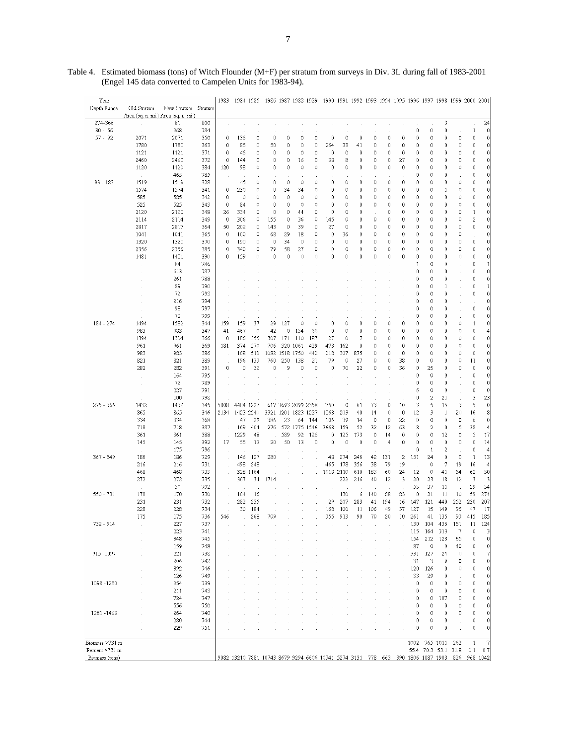| Year           |             |                                     |         | 1983    | 1984 1985 |              |                                                                                 |              | 1986 1987 1988 1989 |             |           |     |     |              |                |              |             | 1990 1991 1992 1993 1994 1995 1996 1997 1998 1999 2000 2001 |                |             |                   |                         |
|----------------|-------------|-------------------------------------|---------|---------|-----------|--------------|---------------------------------------------------------------------------------|--------------|---------------------|-------------|-----------|-----|-----|--------------|----------------|--------------|-------------|-------------------------------------------------------------|----------------|-------------|-------------------|-------------------------|
| Depth Range    | Old Stratum | New Stratum                         | Stratum |         |           |              |                                                                                 |              |                     |             |           |     |     |              |                |              |             |                                                             |                |             |                   |                         |
|                |             | Area (sq. n. mi.) Area (sq. n. mi.) |         |         |           |              |                                                                                 |              |                     |             |           |     |     |              |                |              |             |                                                             |                |             |                   |                         |
| 274-366        |             | 81                                  | 800     | ÷,      |           |              |                                                                                 |              |                     |             |           |     |     |              |                |              |             |                                                             | 3              |             |                   | 24                      |
| $30 - 56$      |             | 268                                 | 784     |         |           |              |                                                                                 |              |                     |             |           |     |     |              |                |              | 0           | 0                                                           | 0              |             | 1                 | 0                       |
| $57 - 92$      | 2071        | 2071                                | 350     | 0       | 136       | 0            | $\bf{0}$                                                                        | 0            | 0                   | 0           | 0         | 0   | 0   | 0            | 0              | 0            | 0           | 0                                                           | $\theta$       | 0           | 0                 | $\mathbf 0$             |
|                | 1780        | 1780                                | 363     | 0       | 85        | 0            | 50                                                                              | 0            | 0                   | 0           | 264       | 33  | 41  | 0            | 0              | 0            | 0           | 0                                                           | 0              | 0           | 0                 | 0                       |
|                | 1121        | 1121                                | 371     | 0       | 46        | $\theta$     | $\theta$                                                                        | 0            | 0                   | 0           | 0         | 0   | 0   | 0            | 0              | 0            | 0           | 0                                                           | $\theta$       | 0           | 0                 | $\bf 0$                 |
|                | 2460        | 2460                                | 372     | 0       | 144       | 0            | $\bf 0$                                                                         | 0            | 16                  | 0           | 38        | 8   | 0   | 0            | 0              | 27           | 0           | 0                                                           | 0              | 0           | $\ddot{\text{o}}$ | 0                       |
|                | 1120        | 1120                                | 384     | 120     | 98        | $\theta$     | 0                                                                               | 0            | 0                   | 0           | 0         | 0   | 0   | $\theta$     | 0              | 0            | 0           | $\theta$                                                    | 0              | 0           | 0                 | 0                       |
|                |             | 465                                 | 785     |         |           |              |                                                                                 |              |                     |             |           |     |     |              |                |              | 0           | 0                                                           | 0              |             | $\ddot{\rm{o}}$   | 0                       |
| 93 - 183       | 1519        | 1519                                | 328     | $\cdot$ | 45        | 0            | $\mathbf 0$                                                                     | 0            | 0                   | 0           | 0         | 0   | 0   | $\mathbb O$  | 0              | 0            | 0           | $\mathbf 0$                                                 | 0              | 0           | 0                 | 0                       |
|                | 1574        | 1574                                | 341     | 0       | 230       | $\mathbb O$  | 0                                                                               | 34           | 34                  | 0           | 0         | 0   | 0   | $\theta$     | 0              | 0            | 0           | 0                                                           | $\mathbf{1}$   | 0           | $\mathbf 0$       | $\mathbf 0$             |
|                | 585         | 585                                 | 342     | 0       | 0         | $\mathbf{0}$ | 0                                                                               | 0            | 0                   | 0           | 0         | 0   | 0   | 0            | 0              | 0            | 0           | 0                                                           | $\theta$       | 0           | $\mathbf 0$       | 0                       |
|                | 525         | 525                                 | 343     | 0       | 84        | 0            | 0                                                                               | 0            | 0                   | 0           | 0         | 0   | 0   | 0            | 0              | $\mathbf 0$  | 0           | 0                                                           | 0              | 0           | $\theta$          | 0                       |
|                | 2120        | 2120                                | 348     | 26      | 334       | $\theta$     | $\mathbb O$                                                                     | 0            | 44                  | 0           | 0         | 0   | 0   |              | 0              | 0            | 0           | $\mathbf{0}$                                                | $\theta$       | 0           | $\mathbf{1}$      | $\mathbf 0$             |
|                | 2114        | 2114                                | 349     | 0       | 306       | $\mathbb O$  | 155                                                                             | $\mathbf{0}$ | 36                  | 0           | 145       | 0   | 0   | 0            | 0              | 0            | 0           | $\mathbf 0$                                                 | 0              | 0           | $\overline{c}$    | $\mathbf 0$             |
|                | 2817        | 2817                                | 364     | 50      | 202       | $\mathbf 0$  | 143                                                                             | $\mathbf 0$  | 39                  | 0           | 27        | 0   | 0   | $\theta$     | 0              | $\mathbf{0}$ | 0           | 0                                                           | $\theta$       | 0           | 0                 | $\mathbf 0$             |
|                | 1041        | 1041                                | 365     | 0       | 100       | $\mathbf{0}$ | 68                                                                              | 29           | 18                  | 0           | 0         | 36  | 0   | $\theta$     | 0              | 0            | 0           | 0                                                           | $\theta$       | 0           |                   | $\vert 0 \vert$         |
|                | 1320        | 1320                                | 370     | 0       | 190       | $\mathbf 0$  | $\bf{0}$                                                                        | 34           | $\theta$            | 0           | 0         | 0   | 0   | 0            | 0              | 0            | 0           | $\mathbb O$                                                 | 0              | 0           | $\mathbf 0$       | $\boldsymbol{0}$        |
|                | 2356        | 2356                                | 385     | 0       | 340       | $\theta$     | 79                                                                              | 58           | 27                  | 0           | 0         | 0   | 0   | $\theta$     | 0              | 0            | 0           | 0                                                           | $\mathbf{0}$   | 0           | $\mathbf{0}$      | $\mathbb O$             |
|                | 1481        | 1481                                | 390     | 0       | 159       | $\theta$     | $\mathbf{0}$                                                                    | $\mathbf{0}$ | 0                   | 0           | 0         | 0   | 0   | $\mathbf{0}$ | 0              | 0            | 0           | 0                                                           | 0              | 0           | $\mathbf{0}$      | $\mathbf 0$             |
|                |             | 84                                  | 786     |         |           |              |                                                                                 |              |                     |             |           |     |     |              |                |              | 1           | 0                                                           | $\theta$       |             | $\mathbf{0}$      | $\mathbf{1}$            |
|                |             | 613                                 | 787     |         |           |              |                                                                                 |              |                     |             |           |     |     |              |                |              | 0           | 0                                                           | 0              |             | $\ddot{\rm{o}}$   | $\mathbf 0$             |
|                |             | 261                                 | 788     |         |           |              |                                                                                 |              |                     |             |           |     |     |              |                |              | 0           | 0                                                           | 0              |             | 0                 | $\mathbf 0$             |
|                |             | 89                                  | 790     |         |           |              |                                                                                 |              |                     |             |           |     |     |              |                |              | 0           | 0                                                           | 1              |             | 0                 | 1                       |
|                |             | 72                                  | 793     |         |           |              |                                                                                 |              |                     |             |           |     |     |              |                |              | 0           | 0                                                           | 0              |             | 0                 | $\mathbf 0$             |
|                |             | 216                                 | 794     |         |           |              |                                                                                 |              |                     |             |           |     |     |              |                |              | 0           | 0                                                           | 0              |             |                   | 0                       |
|                |             | 98                                  | 797     |         |           |              |                                                                                 |              |                     |             |           |     |     |              |                |              | 0           | 0                                                           | $\mathbf 0$    |             | 0                 | 0                       |
|                |             | 72                                  | 799     |         |           |              |                                                                                 |              |                     |             |           |     |     |              |                |              | 0           | 0                                                           | 0              |             | 0                 | $\mathbf 0$             |
| 184 - 274      | 1494        | 1582                                | 344     | 159     | 159       | 37           | 29                                                                              | 127          | 0                   | 0           | 0         | 0   | 0   | $\theta$     | 0              | 0            | 0           | 0                                                           | 0              | 0           | $\mathbf{1}$      | $\mathbf 0$             |
|                | 983         | 983                                 | 347     | 41      | 467       | $\theta$     | 42                                                                              | 0            | 154                 | 66          | 0         | 0   | 0   | $\theta$     | 0              | 0            | 0           | 0                                                           | 0              | 0           | $\mathbf 0$       | $\overline{4}$          |
|                | 1394        | 1394                                | 366     | 0       | 186       | 355          | 307                                                                             | 171          | 110                 | 187         | 27        | 0   | 7   | 0            | 0              | 0            | 0           | 0                                                           | 0              | 0           | 0                 | 0                       |
|                | 961         | 961                                 | 369     | 181     | 374       | 570          | 706                                                                             | 320          | 1061                | 429         | 473       | 162 | 0   | $\theta$     | 0              | 0            | 0           | 0                                                           | $\theta$       | 0           | $\ddot{\rm{o}}$   | 0                       |
|                | 983         | 983                                 | 386     |         | 168       | 519          | 1082                                                                            | 1518 1750    |                     | 442         | 218       | 307 | 875 | 0            | 0              | 0            | 0           | 0                                                           | $\theta$       | 0           | 0                 | $\bf 0$                 |
|                | 821         | 821                                 | 389     |         | 196       | 133          | 760                                                                             | 250          | 138                 | 21          | 79        | 0   | 27  | 0            | 0              | 38           | 0           | 0                                                           | 0              | 0           | 11                | 0                       |
|                | 282         | 282                                 | 391     | 0       | 0         | 32           | 0                                                                               | ç            | 0                   | 0           | 0         | 70  | 22  | $\theta$     | 0              | 36           | 0           | 25                                                          | $\theta$       | 0           | 0                 | $\mathbf 0$             |
|                |             | 164                                 | 795     |         |           |              |                                                                                 |              |                     |             |           |     |     |              |                |              | 0           | 0                                                           | $\mathbf 0$    |             | $\ddot{\text{o}}$ | $\mathbf 0$             |
|                |             |                                     |         |         |           |              |                                                                                 |              |                     |             |           |     |     |              |                |              |             | $\mathbb O$                                                 | $\mathbf 0$    |             | $\mathbf 0$       | 0                       |
|                |             | 72                                  | 789     |         |           |              |                                                                                 |              |                     |             |           |     |     |              |                |              | 0           |                                                             |                |             |                   |                         |
|                |             | 227                                 | 791     |         |           |              |                                                                                 |              |                     |             |           |     |     |              |                |              | 6           | $\mathbf 0$                                                 | $\mathbf 0$    |             | $\mathbf 0$       | 0                       |
|                |             | 100                                 | 798     |         |           |              |                                                                                 |              |                     |             |           |     |     |              |                |              | 0           | $\overline{\mathbf{c}}$                                     | 21             |             | 3                 | 23                      |
| 275 - 366      | 1432        | 1432                                | 345     | 5808    | 4484 1227 |              |                                                                                 |              | 617 3693 2099 2358  |             | 750       | 0   | 61  | 73           | 0              | 10           | 3           | 5                                                           | 35             | 3           | 5                 | $\bf 0$                 |
|                | 865         | 865                                 | 346     | 2134    | 1423 2240 |              |                                                                                 |              | 3321 1201 1823 1287 |             | 1863      | 203 | 40  | 14           | 0              | $\mathbf 0$  | 12          | 3                                                           | $\mathbf{1}$   | 20          | 16                | 8                       |
|                | 334         | 334                                 | 368     |         | 47        | 29           | 386                                                                             | 23           | 64                  | 144         | 106       | 39  | 14  | $\mathbf 0$  | 0              | 22           | $\mathbb O$ | $\mathbb O$                                                 | $\mathbb O$    | $\mathbf 0$ | 6                 | $\boldsymbol{0}$        |
|                | 718         | 718                                 | 387     |         | 169       | 404          | 276                                                                             |              | 572 1775 1546       |             | 3668      | 159 | 52  | 32           | 12             | 63           | 8           | 2                                                           | $\theta$       | 5           | 38                | $\overline{4}$          |
|                | 361         | 361                                 | 388     |         | 1229      | 48           |                                                                                 | 589          | 92                  | 126         | 0         | 125 | 173 | 0            | 14             | 0            | 0           | 0                                                           | 12             | 0           | 5                 | 17                      |
|                | 145         | 145                                 | 392     | 17      | 55        | 13           | 20                                                                              | 50           | 13                  | $\mathbf 0$ | 0         | 0   | 0   | $\mathbb O$  | $\overline{4}$ | 0            | $\mathbb O$ | $\mathbb O$                                                 | $\mathbb O$    | 0           | $\mathbf 0$       | 14                      |
|                |             | 175                                 | 796     |         |           |              |                                                                                 |              |                     |             |           |     |     |              |                |              | 0           | 1                                                           | $\overline{c}$ |             | $\mathbf 0$       | $\overline{4}$          |
| 367 - 549      | 186         | 186                                 | 729     |         | 146       | 127          | 280                                                                             |              |                     |             | 48        | 274 | 246 | 42           | 131            | 2            | 151         | 24                                                          | 0              | 0           | $\mathbf{1}$      | 13                      |
|                | 216         | 216                                 | 731     |         | 498       | 248          |                                                                                 |              |                     |             | 465       | 178 | 356 | 38           | 79             | 19           |             | 0                                                           | 7              | 19          | 16                | $\overline{\mathbf{4}}$ |
|                | 468         | 468                                 | 733     |         |           | 328 1164     |                                                                                 |              |                     |             | 1618 2110 |     | 610 | 183          | 60             | 24           | 12          | $\mathbb O$                                                 | 41             | 54          | 62                | 50                      |
|                | 272         | 272                                 | 735     |         | 367       | 34           | 1714                                                                            |              |                     |             |           | 222 | 216 | 40           | 12             | 3            | 20          | 23                                                          | 18             | 12          | 3                 | 3                       |
|                |             | 50                                  | 792     |         |           |              |                                                                                 |              |                     |             |           |     |     |              |                |              | 55          | 37                                                          | 11             |             | 29                | 54                      |
| 550 - 731      | 170         | 170                                 | 730     |         | 104       | 16           |                                                                                 |              |                     |             |           | 130 | 6   | 140          | 88             | 83           | 0           | 21                                                          | 11             | 10          | 59                | 274                     |
|                | 231         | 231                                 | 732     |         | 282       | 235          |                                                                                 |              |                     |             | 29        | 207 | 283 | 41           | 194            | 16           | 147         | 121                                                         | 440            | 252         | 230               | 207                     |
|                | 228         | 228                                 | 734     |         | 30        | 184          |                                                                                 |              |                     |             | 168       | 100 | 11  | 106          | 49             | 37           | 127         | 15                                                          | 149            | 95          | 47                | 17                      |
|                | 175         | 175                                 | 736     | 546     |           | 268          | 709                                                                             |              |                     |             | 355       | 913 | 90  | 70           | 20             | 10           | 261         | 41                                                          | 135            | 93          | 415               | 185                     |
| 732 - 914      |             | 227                                 | 737     |         |           |              |                                                                                 |              |                     |             |           |     |     |              |                |              | 130         | 104                                                         | 435            | 151         | 11                | 124                     |
|                |             | 223                                 | 741     |         |           |              |                                                                                 |              |                     |             |           |     |     |              |                |              | 115         | 164                                                         | 313            | 7           | 0                 | 3                       |
|                |             | 348                                 | 745     |         |           |              |                                                                                 |              |                     |             |           |     |     |              |                |              | 154         | 212                                                         | 123            | 65          | 0                 | $\bf 0$                 |
|                |             | 159                                 | 748     |         |           |              |                                                                                 |              |                     |             |           |     |     |              |                |              | 87          | 0                                                           | 0              | 40          | 0                 | $\bf 0$                 |
| 915 - 1097     |             | 221                                 | 738     |         |           |              |                                                                                 |              |                     |             |           |     |     |              |                |              | 331         | 127                                                         | 24             | 0           | 0                 | 7                       |
|                |             | 206                                 | 742     |         |           |              |                                                                                 |              |                     |             |           |     |     |              |                |              | 31          | 3                                                           | 9              | 0           | 0                 | 0                       |
|                |             | 392                                 | 746     |         |           |              |                                                                                 |              |                     |             |           |     |     |              |                |              | 120         | 126                                                         | 0              | 0           | 0                 | 0                       |
|                |             | 126                                 | 749     |         |           |              |                                                                                 |              |                     |             |           |     |     |              |                |              | 33          | 29                                                          | 0              |             | 0                 | 0                       |
| 1098-1280      |             | 254                                 | 739     |         |           |              |                                                                                 |              |                     |             |           |     |     |              |                |              | 0           | $\mathbb O$                                                 | 0              | 0           | 0                 | 0                       |
|                |             | 211                                 | 743     |         |           |              |                                                                                 |              |                     |             |           |     |     |              |                |              | 0           | 0                                                           | $\theta$       | 0           | 0                 | 0                       |
|                |             | 724                                 | 747     |         |           |              |                                                                                 |              |                     |             |           |     |     |              |                |              | 0           | 0                                                           | 107            | 0           | 0                 | 0                       |
|                |             | 556                                 | 750     |         |           |              |                                                                                 |              |                     |             |           |     |     |              |                |              | 0           | 0                                                           | 0              | 0           | 0                 | $\bf 0$                 |
| 1281-1463      |             | 264                                 | 740     |         |           |              |                                                                                 |              |                     |             |           |     |     |              |                |              | 0           | $\theta$                                                    | 0              | 0           | 0                 | $\boldsymbol{0}$        |
|                |             | 280                                 | 744     |         |           |              |                                                                                 |              |                     |             |           |     |     |              |                |              | 0           | 0                                                           | 0              |             | $\mathbf{0}$      | $\boldsymbol{0}$        |
|                |             | 229                                 | 751     |         |           |              |                                                                                 |              |                     |             |           |     |     |              |                |              | 0           | $\theta$                                                    | $\theta$       |             | $\mathbf{0}$      | 0                       |
|                |             |                                     |         |         |           |              |                                                                                 |              |                     |             |           |     |     |              |                |              |             |                                                             |                |             |                   |                         |
| Biomass >731 m |             |                                     |         |         |           |              |                                                                                 |              |                     |             |           |     |     |              |                |              | 1002        |                                                             | 765 1011       | 262         | $\mathbf{1}$      | 7                       |
| Percent >731 m |             |                                     |         |         |           |              |                                                                                 |              |                     |             |           |     |     |              |                |              |             | 55.4 70.3 53.1                                              |                | 31.8        | 0.1               | 0.7                     |
| Biomass (tons) |             |                                     |         |         |           |              | 9082 13210 7881 10743 8679 9294 6606 10341 5274 3131 778 663 390 1806 1087 1903 |              |                     |             |           |     |     |              |                |              |             |                                                             |                | 826         |                   | 968 1042                |
|                |             |                                     |         |         |           |              |                                                                                 |              |                     |             |           |     |     |              |                |              |             |                                                             |                |             |                   |                         |

Table 4. Estimated biomass (tons) of Witch Flounder (M+F) per stratum from surveys in Div. 3L during fall of 1983-2001 (Engel 145 data converted to Campelen Units for 1983-94).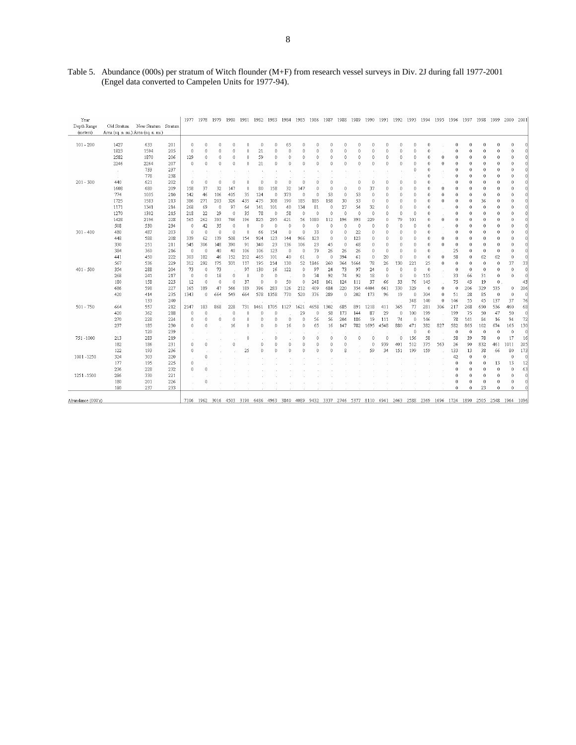| Year<br>Depth Range | Old Stratum | New Stratum                         | Stratum |              | 1977 1978 | 1979         | 1980           |                 | 1981 1982 1983 |               |          | 1984 1985            |           | 1986 1987 1988 1989 |              |          | 1990         |                 |                 |                   | 1991 1992 1993 1994 1995 1996 |              |                 | 1997 1998         |                     | 1999 2000    |                      | 2001           |
|---------------------|-------------|-------------------------------------|---------|--------------|-----------|--------------|----------------|-----------------|----------------|---------------|----------|----------------------|-----------|---------------------|--------------|----------|--------------|-----------------|-----------------|-------------------|-------------------------------|--------------|-----------------|-------------------|---------------------|--------------|----------------------|----------------|
| (meters)            |             | Area (sq. n. mi.) Area (sq. n. mi.) |         |              |           |              |                |                 |                |               |          |                      |           |                     |              |          |              |                 |                 |                   |                               |              |                 |                   |                     |              |                      |                |
| $101 - 200$         | 1427        | 633                                 | 201     | $\theta$     | Ú         | $\cap$       | n              | $\cap$          | n              | $\Omega$      | 65       | $\Omega$             | $\Omega$  | n                   | $\theta$     | n        | $\bigcap$    | Û               | $\theta$        | Û                 | $\theta$                      |              | $\Omega$        | Ĥ                 | $\Omega$            | $\theta$     | $\Omega$             | n              |
|                     | 1823        | 1594                                | 205     | $\theta$     | 0         | $\Omega$     | 0              | 0               | 21             | $\Omega$      | $\Omega$ | 0                    | $\Omega$  | 0                   | $\theta$     | 0        | $\theta$     | $\Omega$        | $\theta$        | $\theta$          | $\ddot{\phantom{0}}$          |              | $\ddot{\rm{o}}$ | $\ddot{\text{o}}$ | 0                   | $\mathbf{0}$ | $\mathbf{0}$         | $\Omega$       |
|                     | 2582        | 1870                                | 206     | 129          | 0         | $\mathbf{0}$ | $\theta$       | $\Omega$        | 59             | $\Omega$      | $\theta$ | $\Omega$             | $\theta$  | 0                   | $\theta$     | $\Omega$ | $\theta$     | 0               | 0               | 0                 | $\theta$                      | 0            | $\Omega$        | $\Omega$          | 0                   | 0            | 0                    | $\theta$       |
|                     | 2246        | 2264                                | 207     | $\theta$     | 0         | $\theta$     | $\theta$       | 0               | 21             | n             | $\theta$ | $\theta$             | $\theta$  | 0                   | $\theta$     | $\theta$ | $\theta$     | $\theta$        | $\theta$        | $\ddot{\text{o}}$ | 0                             | $\theta$     | $\theta$        | $\theta$          | 0                   | $\theta$     | 0                    | $\theta$       |
|                     | $\sim$      | 733                                 | 237     |              |           |              |                |                 |                |               |          |                      |           |                     |              |          |              |                 |                 | 0                 | 0                             |              | 0               | 0                 | 0                   | $\mathbf{0}$ | 0                    | 0              |
|                     |             | 778                                 | 238     |              |           |              |                |                 |                |               |          |                      |           |                     |              |          |              |                 |                 |                   | 0                             |              | $\theta$        | $\theta$          | $\theta$            | $\circ$      | $\theta$             | $\cap$         |
| $201 - 300$         | 440         | 621                                 | 202     | $\theta$     | 0         | n            | $\Omega$       | n               | $\Omega$       | n             | $\Omega$ | $\theta$             | $\Omega$  | $\Omega$            |              | 0        | $\theta$     | Û               | $\theta$        | 0                 | $\theta$                      |              | 0               | 0                 | 0                   | $\theta$     | 0                    | 0              |
|                     | 1608        | 680                                 | 209     | 158          | 37        | 32           | 147            | $\theta$        | 80             | 158           | 32       | 147                  | $\Omega$  | $\Omega$            | $\Omega$     | $\theta$ | 37           | $\Omega$        | $\theta$        | 0                 | $\theta$                      | 0            | $\Omega$        | $\mathbf{0}$      | 0                   | 0            | $\ddot{\phantom{0}}$ | 0              |
|                     | 774         | 1035                                | 210     | 142          | 46        | 106          | 405            | 35              | 124            | $\theta$      | 373      | $\theta$             | $\theta$  | 53                  | $\theta$     | 53       | $\theta$     | 0               | $\theta$        | 0                 | 0                             | $\theta$     | $\theta$        | $\theta$          | 0                   | $\circ$      | $\ddot{\rm{o}}$      | $\theta$       |
|                     | 1725        | 1583                                | 213     | 386          | 271       | 203          | 326            | 435             | 475            | 308           | 190      | 185                  | 185       | 158                 | 30           | 53       | $\theta$     | Û               | $\theta$        | Û                 | $\theta$                      | $\Omega$     | n               | $\theta$          | 36                  | $\theta$     | n                    | O              |
|                     | 1171        | 1341                                | 214     | 268          | 69        | $\mathbf{0}$ | 97             | 64              | 141            | 101           | 40       | 134                  | 81        | $\mathbf 0$         | 27           | 54       | 32           | n               | $\theta$        | $\theta$          | $\theta$                      |              | $\Omega$        | $\theta$          | $\mathbf 0$         | $\circ$      | $\Omega$             | $\Omega$       |
|                     | 1270        | 1302                                | 215     | 218          | 22        | 29           | $\mathbf 0$    | 35              | 78             | $\theta$      | 58       | $\theta$             | $\theta$  | $\theta$            | $\theta$     | $\theta$ | $\theta$     | $\theta$        | $\theta$        | 0                 | 0                             |              | 0               | 0                 | 0                   | 0            | $\theta$             | $\theta$       |
|                     | 1428        | 2196                                | 228     | 565          | 262       | 393          | 746            | 196             | 825            | 295           | 421      | 56                   | 1080      | 112                 | 196          | 393      | 229          | $\ddot{\rm{o}}$ | 79              | 101               | $\ddot{\phantom{0}}$          | $\mathbf{0}$ | 0               | 0                 | 0                   | $\mathbf{0}$ | $\mathbf{0}$         | $\Omega$       |
|                     | 508         | 530                                 | 234     | $\,0\,$      | 42        | 35           | $\mathbf 0$    | $\theta$        | $\mathbf 0$    | $\mathbf{0}$  | $\Omega$ | $\theta$             | $\theta$  | $\theta$            | $\theta$     | $\theta$ | $\theta$     | $\ddot{\rm{o}}$ | $\theta$        | $\theta$          | $\theta$                      |              | 0               | $\Omega$          | $\mathbf 0$         | 0            | $\theta$             | $\theta$       |
| $301 - 400$         | 480         | 487                                 | 203     | $\theta$     | 0         | $\bigcap$    | $\theta$       | n               | 66             | 154           | $\Omega$ | n                    | 33        | n                   | $\theta$     | 22       | $\theta$     | Ĥ               | $\theta$        | Ĥ                 | $\theta$                      |              | $\theta$        | 0                 | 0                   | $\mathbf{0}$ | 0                    | n              |
|                     | 448         | 588                                 | 208     | 339          | 62        | 139          | 508            | 154             | 924            | 123           | 144      | 966                  | 123       | 0                   | $\theta$     | 123      | $\theta$     | $\Omega$        | $\theta$        | $\Omega$          | $\ddot{\rm{o}}$               | 0            | 0               | $\theta$          | 0                   | $\mathbf{0}$ | 0                    | n              |
|                     | 330         | 251                                 | 211     | 545          | 306       | 148          | 390            | 91              | 340            | 23            | 136      | 106                  | 23        | 45                  | $\theta$     | 68       | $\theta$     | $\theta$        | $\theta$        | 0                 | $\theta$                      | $\bf{0}$     | $\theta$        | $\theta$          | $\theta$            | $\circ$      | 0                    | $\theta$       |
|                     | 384         | 360                                 | 216     | $\theta$     | $\theta$  | 40           | 40             | 106             | 106            | 123           | $\Omega$ | $\theta$             | 79        | 26                  | 26           | 26       | $\theta$     | Û               | $\theta$        | $\ddot{\text{o}}$ | $\theta$                      |              | 25              | $\theta$          | 0                   | $\theta$     | $\theta$             | $\Omega$       |
|                     | 441         | 450                                 | 222     | 303          | 182       | 46           | 152            | 212             | 465            | 101           | 40       | 61                   | $\theta$  | $\mathbf 0$         | 394          | 61       | $\mathbf{0}$ | 20              | $\theta$        | 0                 | $\theta$                      | $\bf{0}$     | 58              | $\mathbf{0}$      | 62                  | 62           | $\mathbf{0}$         | $\theta$       |
|                     | 567         | 536                                 | 229     | 312          | 292       | 175          | 331            | 117             | 195            | 214           | 130      | 52                   | 846       | 260                 | 364          | 1664     | 78           | 26              | 130             | 221               | 25                            | 0            | $\theta$        | $\theta$          | 0                   | $\circ$      | 37                   | 33             |
| 401 - 500           | 354         | 288                                 | 204     | 73           | 0         | 73           |                | 97              | 130            | 16            | 122      | $\ddot{\phantom{0}}$ | 97        | 24                  | 73           | 97       | 24           | $\theta$        | $\theta$        | 0                 | $\theta$                      |              | $\theta$        | $\theta$          | $\ddot{0}$          | $\theta$     | $\theta$             | $\theta$       |
|                     | 268         | 241                                 | 217     | $\theta$     | 0         | 18           | $\theta$       | $\theta$        | $\theta$       | $\theta$      |          | $\theta$             | 74        | 92                  | 74           | 92       | 18           | $\theta$        | $\theta$        | $\theta$          | 155                           |              | 33              | 66                | 31                  | $\mathbb O$  | $\mathbf 0$          | $\theta$       |
|                     | 180         | 158                                 | 223     | 12           | 0         | $\theta$     | $\theta$       | 37              | $\Omega$       | n             | 50       | $\theta$             | 248       | 161                 | 124          | 111      | 37           | 66              | 33              | 76                | 145                           |              | 75              | 43                | 19                  | $\circ$      |                      | 43             |
|                     | 686         | 598                                 | 227     | 165          | 189       | 47           | 566            | 189             | 396            | 283           | 126      | 212                  | 409       | 684                 | 220          | 354      | 4404         | 661             | 330             | 329               | $\theta$                      | $\mathbf{0}$ | $\circ$         | 206               | 329                 | 535          | 0                    | 206            |
|                     | 420         | 414                                 | 235     | 1343         | 0         | 664          | 549            | 664             | 578            | 1358          | 770      | 520                  | 376       | 289                 | $\mathbf{0}$ | 202      | 173          | 96              | 19              | $\theta$          | 304                           | $\theta$     | 51              | 28                | 85                  | $\circ$      | $\mathbf 0$          | $\theta$       |
|                     |             | 133                                 | 240     |              |           |              |                |                 |                |               |          |                      |           |                     |              |          |              |                 |                 | 348               | 140                           | $\ddot{0}$   | 146             | 55                | 45                  | 137          | 37                   | 76             |
|                     |             |                                     |         |              |           | 868          |                |                 | 1461           |               |          |                      | 4658      |                     |              |          |              | 411             |                 |                   |                               |              |                 |                   |                     | 536          | 460                  |                |
| 501 - 750           | 664         | 557                                 | 212     | 2147         | 183       |              | 228<br>0       | 731<br>n        |                | 1705          | 1127     | 1621                 | $\theta$  | 1302<br>58          | 685<br>173   | 891      | 1218<br>87   |                 | 365<br>$\theta$ | 77<br>100         | 281<br>199                    | 306          | 217<br>199      | 268<br>75         | 690<br>50           |              |                      | 68             |
|                     | 420         | 362                                 | 218     | 0            | 0         |              | n              | n               | 0<br>n         | $\Omega$<br>n | $\Omega$ | 29                   |           | 56                  |              | 144      |              | 29              |                 |                   |                               |              |                 |                   |                     | 47           | 50<br>94             | $\theta$<br>72 |
|                     | 270         | 228                                 | 224     | $\theta$     | 0         | $\mathbf{0}$ |                |                 | $\theta$       |               |          | $\theta$             | 56        |                     | 204          | 186      | 19           | 111             | 74              | $\theta$          | 146                           |              | 78<br>582       | 141               | 84<br>102           | 16           |                      | 130            |
|                     | 237         | 185                                 | 230     | $\mathbf{0}$ | 0         |              | 16             | $\Omega$        |                | $\Omega$      | 16       | $\theta$             | 65        | 16                  | 147          | 782      | 1695         | 4548            | 880             | 471               | 382<br>$\theta$               | 827          | $\theta$        | 865<br>$\theta$   |                     | 674          | 165                  |                |
|                     | $\sim$      | 120                                 | 239     |              |           |              |                |                 |                |               |          |                      | $\Omega$  | Ò                   | $\Omega$     | Ò        | $\theta$     | $\Omega$        |                 | 0                 |                               |              |                 |                   | $\mathbf 0$         | $\mathbf{0}$ | $\theta$             | $\theta$       |
| 751 - 1000          | 213         | 283                                 | 219     | 14.          |           |              |                | $\ddot{\rm{o}}$ |                | $\Omega$      |          | 0                    |           |                     |              |          |              |                 | $\theta$        | 156               | 58                            |              | 58              | 39                | 78                  | $\mathbb O$  | 17                   | 16             |
|                     | 182         | 186                                 | 231     | $\mathbf{0}$ | 0         |              | $\theta$       |                 | $\mathbf{0}$   | $\Omega$      | $\theta$ | $\Omega$             | $\theta$  | $\Omega$            | $\mathbf{0}$ |          | $\mathbf{0}$ | 939             | 401             | 512               | 375                           | 563          | 26              | 90                | 832                 | 461          | 1011                 | 205            |
|                     | 122         | 193                                 | 236     | $\theta$     |           |              |                | 25              | $\Omega$       | n             | Ĥ        | n                    | $\bigcap$ | n                   | 8            |          | 59           | 34              | 151             | 199               | 159                           |              | 133             | 13                | 38                  | 66           | 80                   | 173            |
| 1001-1250           | 324         | 303                                 | 220     | $\alpha$     | 0         |              |                |                 |                |               |          |                      |           |                     |              |          |              |                 |                 |                   |                               |              | 42              | $\mathbf{0}$      | 0                   |              | $\mathbf{0}$         | $\theta$       |
|                     | 177         | 195                                 | 225     | $\theta$     |           |              |                |                 |                |               |          |                      |           |                     |              |          |              |                 |                 |                   |                               |              | $\theta$        | $\theta$          | $\theta$            | 13           | 13                   | 12             |
|                     | 236         | 228                                 | 232     | $\theta$     | 0         |              |                |                 |                |               |          |                      |           |                     |              |          |              |                 |                 |                   |                               |              | 0               | $\theta$          | $\ddot{0}$          | $\theta$     | $\theta$             | 63             |
| 1251-1500           | 286         | 330                                 | 221     |              |           |              |                |                 |                |               |          |                      |           |                     |              |          |              |                 |                 |                   |                               |              | 0               | $\Omega$          | 0                   | $\mathbf 0$  | 0                    | $\theta$       |
|                     | 180         | 201                                 | 226     |              | 0         |              |                |                 |                |               |          |                      |           |                     |              |          |              |                 |                 |                   |                               |              | 0               | $\theta$          | 0                   | $\circ$      | $\theta$             | $\theta$       |
|                     | 180         | 237                                 | 233     |              |           |              |                |                 |                |               |          |                      |           |                     |              |          |              |                 |                 |                   |                               |              | 0               | $\theta$          | 23                  | $\theta$     | $\theta$             | $\theta$       |
| Abundance (000's)   |             |                                     |         |              | 7106 1962 |              | 3016 4503 3190 |                 | 6486           | 4963          | 3840     | 4089                 | 9432      | 3337                | 2746         | 5377     | 8110         | 6941            | 2463            | 2588              | 2369                          | 1696         | 1724            | 1890              | 2505 2548 1964 1096 |              |                      |                |

Table 5. Abundance (000s) per stratum of Witch flounder (M+F) from research vessel surveys in Div. 2J during fall 1977-2001 (Engel data converted to Campelen Units for 1977-94).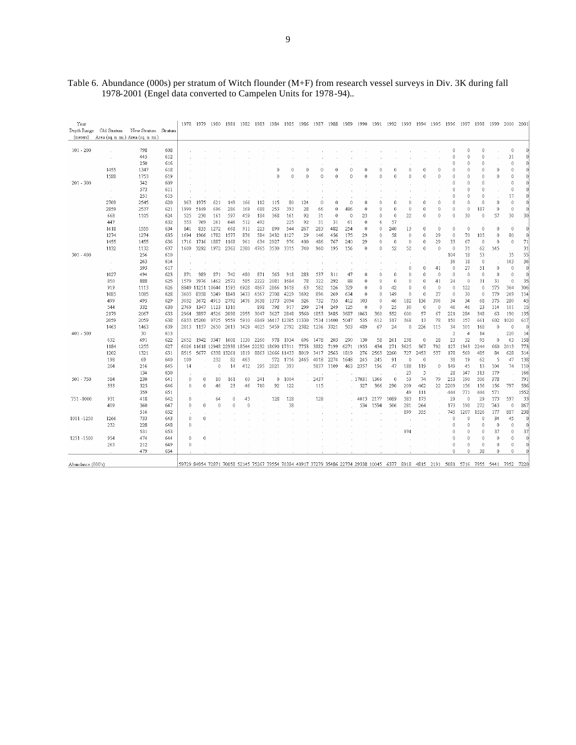## Table 6. Abundance (000s) per stratum of Witch flounder (M+F) from research vessel surveys in Div. 3K during fall 1978-2001 (Engel data converted to Campelen Units for 1978-94)..

| Year<br>Depth Range<br>(meters) | Old Stratum   | New Stratum<br>Area (sq. n. mi.) Area (sq. n. mi.) | Stratum | 1978     |             | 1979 1980              | 1981     | 1982        | 1983 | 1984             | 1985        | 1986     | 1987     | 1988       | 1989     | 1990     |                    | 1991 1992 | 1993     | -1994     | 1995            | -1996                                                                                                                       | 1997            | 1998        | 1999              | 2000         | 2001           |
|---------------------------------|---------------|----------------------------------------------------|---------|----------|-------------|------------------------|----------|-------------|------|------------------|-------------|----------|----------|------------|----------|----------|--------------------|-----------|----------|-----------|-----------------|-----------------------------------------------------------------------------------------------------------------------------|-----------------|-------------|-------------------|--------------|----------------|
| $101 - 200$                     |               | 798                                                | 608     |          |             |                        |          |             |      |                  |             |          |          |            |          |          |                    |           |          |           |                 | 0                                                                                                                           | 0               | $\theta$    |                   | $\theta$     |                |
|                                 |               | 445                                                | 612     |          |             |                        |          |             |      |                  |             |          |          |            |          |          |                    |           |          |           |                 | 0                                                                                                                           | $\Omega$        | $\theta$    |                   | 31           |                |
|                                 |               | 250                                                | 616     |          |             |                        |          |             |      |                  |             |          |          |            |          |          |                    |           |          |           |                 | 0                                                                                                                           | n               | $\theta$    |                   | $\theta$     |                |
|                                 | 1455          | 1347                                               | 618     |          |             |                        |          |             |      |                  | £           | $\Omega$ | $\Omega$ | $\Omega$   | $\Omega$ | $\Omega$ | $\Omega$           | $\Omega$  | $\Omega$ | $\Omega$  | $\Omega$        | Ó                                                                                                                           | $\Omega$        | $\theta$    | $\ddot{\text{o}}$ | $\theta$     |                |
|                                 | 1588          | 1753                                               | 619     |          |             |                        |          |             |      | 0                | n           | 0        | 0        | 0          | n        | $\theta$ | 0                  | 0         | n        | $\theta$  | 0               | 0                                                                                                                           | 0               | $\theta$    | 0                 | $\mathbb O$  |                |
| $201 - 300$                     |               | 342                                                | 609     |          |             |                        |          |             |      |                  |             |          |          |            |          |          |                    |           |          |           |                 | O                                                                                                                           | $\Omega$        | $\theta$    |                   | $\theta$     |                |
|                                 | $\mathcal{L}$ | 573                                                | 611     |          |             |                        |          |             |      |                  |             |          |          |            |          |          |                    |           |          |           |                 | 0                                                                                                                           | 0               | $\theta$    |                   | $\theta$     |                |
|                                 |               | 251                                                | 615     |          |             |                        |          |             |      |                  |             |          |          |            |          |          |                    |           |          |           |                 | 0                                                                                                                           | $\Omega$        | $\theta$    |                   | 17           |                |
|                                 | 2709          | 2545                                               | 620     | 963      | 1975        | 621                    | 149      | 166         | 112  | 115              | 80          | 124      | 0        | $\theta$   | $\theta$ | 0        | $\hat{\mathbf{n}}$ | $\theta$  | n        | $\theta$  | $\theta$        | 0                                                                                                                           | 0               | $\mathbf 0$ | 0                 | $\mathbb O$  | n              |
|                                 | 2859          | 2537                                               | 621     | 1999     | 5149        | 696                    | 286      | 169         | 688  | 253              | 393         | 28       | 66       | 0          | 486      | $\theta$ | $\theta$           | $\theta$  | $\Omega$ | $\theta$  | $\ddot{\rm{o}}$ | Ó                                                                                                                           | $\theta$        | 187         | $\ddot{\rm{o}}$   | $\theta$     | $\theta$       |
|                                 | 668           | 1105                                               | 624     | 525      | 230         | 161                    | 597      | 459         | 184  | 368              | 161         | 92       | 31       | $\theta$   | $\Omega$ | 23       | 0                  | $\theta$  | 22       | $\theta$  | $\theta$        | $\theta$                                                                                                                    | 30              | $\theta$    | 57                | 30           | 30             |
|                                 | 447           |                                                    | 632     | 553      | 769         | 261                    | 646      | 512         | 492  |                  | 225         | 92       | 31       | 31         | 61       | $\theta$ | 6                  | 57        |          |           |                 |                                                                                                                             |                 |             |                   |              |                |
|                                 | 1618          | 1555                                               | 634     | 841      | 835         | 1272                   | 668      | 911         | 223  | 890              | 544         | 267      | 283      | 482        | 254      | $\theta$ | $\hat{0}$          | 240       | 13       | $\theta$  | $\mathbf 0$     | $\theta$                                                                                                                    | $\theta$        | $\theta$    | $\ddot{\rm{o}}$   | $\mathbf{0}$ | $\Omega$       |
|                                 | 1274          | 1274                                               | 635     | 1694     | 1906        | 1782                   | 1577     | 876         | 584  | 2432             | 1127        | 29       | 146      | 456        | 175      | 29       | 0                  | 58        | n        | $\theta$  | 29              | $\theta$                                                                                                                    | 70              | 105         | $\ddot{\rm{o}}$   | 80           | 0              |
|                                 | 1455          | 1455                                               | 636     | 1716     | 1716        | 1887                   | 1168     | 961         | 634  | 2927             | 976         | 400      | 486      | 767        | 240      | 29       | $\hat{0}$          | $\theta$  | $\theta$ | $\theta$  | 29              | 33                                                                                                                          | 67              | $\theta$    | $\theta$          | $\bf 0$      | 71             |
|                                 | 1132          | 1132                                               | 637     | 1609     | 3292        | 1972                   | 2362     | 2380        | 4765 | 3530             | 3315        | 740      | 960      | 195        | 156      | $\theta$ | $\theta$           | 52        | 52       | $\theta$  | $\theta$        | $\theta$                                                                                                                    | 31              | 62          | 145               |              | 31             |
| $301 - 400$                     |               | 256                                                | 610     |          |             |                        |          |             |      |                  |             |          |          |            |          |          |                    |           |          |           |                 | 104                                                                                                                         | 18              | 53          |                   | 35           | 55             |
|                                 | $\sim$        | 263                                                | 614     |          |             |                        |          |             |      |                  |             |          |          |            |          |          |                    |           |          |           |                 | 36                                                                                                                          | 18              | $\theta$    |                   | 163          | 36             |
|                                 |               | 593                                                | 617     |          |             |                        |          |             |      |                  |             |          |          |            |          |          |                    |           | $\theta$ | $\theta$  | 41              | $\theta$                                                                                                                    | 27              | 51          | $\ddot{\rm{o}}$   | $\theta$     | $\overline{0}$ |
|                                 | 1027          | 494                                                | 623     | 871      | 989         | 871                    | 742      | 480         | 871  | 565              | 918         | 283      | 537      | 311        | 47       | $\theta$ | n                  | $\theta$  | $\Omega$ | $\bigcap$ | $\theta$        | $\bigcap$                                                                                                                   | $\theta$        | $\theta$    | $\theta$          | $\theta$     | $\bigcap$      |
|                                 | 850           | 888                                                | 625     | 1579     | 3976        | 1462                   | 2572     | 585         | 2222 | 2081             | 1684        | 78       | 322      | 292        | 88       | $\theta$ | $\theta$           | $\theta$  | $\Omega$ | $\theta$  | 41              | 24                                                                                                                          | $\bf{0}$        | 31          | 31                | $\theta$     | 35             |
|                                 | 919           | 1113                                               | 626     |          | 8849 11251  | 10644                  | 1593     | 6928        | 4867 | 2866             | 1618        | 63       | 582      | 126        | 329      | $\theta$ | $\theta$           | 42        | $\theta$ | $\theta$  | $\theta$        | $\theta$                                                                                                                    | 122             | $\theta$    | 575               | 364          | 306            |
|                                 | 1085          | 1085                                               | 628     | 3603     | 8358        | 5249                   | 1841     | 3433        | 6567 | 2708             | 4229        | 1692     | 896      | 269        | 634      | $\theta$ | $\theta$           | 149       | $\theta$ | $\theta$  | 27              | $\theta$                                                                                                                    | 30              | $\theta$    | 179               | 269          | 114            |
|                                 | 499           | 495                                                | 629     | 3032     | 3672        | 4915                   | 2792     | 1476        | 3638 | 1373             | 2094        | 526      | 732      | 755        | 412      | 103      | $\theta$           | 46        | 182      | 136       | 306             | 34                                                                                                                          | 34              | 68          | 375               | 280          | 45             |
|                                 | 544           | 332                                                | 630     | 2769     | 1347        | 1123                   | 1310     |             | 898  | 798              | 917         | 299      | 274      | 249        | 125      | $\theta$ | $\mathbf{0}$       | 25        | 30       | $\theta$  | 0               | 46                                                                                                                          | 46              | 23          | 114               | 101          | 15             |
|                                 | 2179          | 2067                                               | 633     | 2964     | 3897        | 4526                   | 2098     | 2955        | 3047 | 3627             | 2848        | 3560     | 1853     | 3485       | 3687     | 1063     | 360                | 552       | 600      | 57        | 67              | 221                                                                                                                         | 284             | 348         | 63                | 190          | 135            |
|                                 | 2059          | 2059                                               | 638     |          | 6833 15200  | 9725                   | 9559     | 5910        | 6849 |                  | 14417 12385 | 11330    |          | 7534 11400 | 5047     | 535      | 612                | 317       | 368      | 13        | 78              | 150                                                                                                                         | 157             | 661         | 602               | 1020         | 617            |
|                                 | 1463          | 1463                                               | 639     | 2013     | 1157        | 2650                   | 2013     | 1429        | 4025 | 5459             | 2792        | 2382     | 1236     | 3321       | 503      | 489      | 67                 | 24        | $\theta$ | 226       | 115             | 34                                                                                                                          | 101             | 168         | $\theta$          | $\theta$     | $\theta$       |
| $401 - 500$                     |               | 30                                                 | 613     |          |             |                        |          |             |      |                  |             |          |          |            |          |          |                    |           |          |           |                 | $\overline{2}$                                                                                                              | $\overline{4}$  | 14          |                   | 220          | 14             |
|                                 | 632           | 691                                                | 622     | 2652     | 1942        | 3347                   | 1608     | 1130        | 2260 | 978              | 1934        | 696      | 1478     | 203        | 290      | 130      | 58                 | 261       | 238      | $\theta$  | 28              | 23                                                                                                                          | 32              | 95          | $\theta$          | 63           | 158            |
|                                 | 1184          | 1255                                               | 627     |          |             | 6026 11618 12948 22938 |          | 18544 22232 |      | 18690 17311      |             | 7753     | 3882     | 7199       | 6271     | 1955     | 434                | 271       | 3625     | 367       | 792             | 127                                                                                                                         | 1343            | 2244        | 660               | 2013         | 773            |
|                                 | 1202          | 1321                                               | 631     | 8515     | 5677        | 6338                   | -13261   | 1819        |      | 8863 12666 11433 |             | 8019     | 3417     | 2563       | 1819     | 276      | 2563               | 2260      | 727      | 2453      | 537             | 178                                                                                                                         | 569             | 485         | 84                | 628          | 314            |
|                                 | 198           | 69                                                 | 640     | 109      |             | 232                    | 82       | 463         |      | 572              | 1716        | 2465     | 4018     | 2274       | 1648     | 245      | 245                | 91        | n        | $\theta$  |                 | 38                                                                                                                          | 19              | 62          | 5                 | 47           | 138            |
|                                 | 204           | 216                                                | 645     | 14       |             | $\theta$               | 14       | 412         | 295  | 2021             | 393         |          | 5837     | 1109       | 463      | 2357     | 196                | 47        | 188      | 119       | 0               | 149                                                                                                                         | 45              | 13          | 104               | 74           | 110            |
|                                 |               | 134                                                | 650     |          |             |                        |          |             |      |                  |             |          |          |            |          |          |                    |           | 25       | 5         |                 | 28                                                                                                                          | 147             | 313         | 179               |              | 166            |
| 501 - 750                       | 584           | 230                                                | 641     | $\cup$   | $\cap$      | 80                     | 161      | 60          | 241  | 0                | 1004        |          | 2437     |            |          | . 17031  | 1366               | $\theta$  | 53       | 74        | 79              | 253                                                                                                                         | 190             | 506         | 378               |              | 791            |
|                                 | 333           | 325                                                | 646     | $\Omega$ | $\mathbf 0$ | 46                     | 23       | 46          | 710  | 92               | 122         |          | 115      |            |          | 527      | 366                | 290       | 209      | 462       | 22              | 2209                                                                                                                        | 156             | 156         | 156               | 797          | 536            |
|                                 |               | 359                                                | 651     |          |             |                        |          |             |      |                  |             |          |          |            |          |          |                    |           | 49       | 111       |                 | 444                                                                                                                         | 771             | 444         | 571               |              | 1552           |
| 751-1000                        | 931           | 418                                                | 642     | $\Omega$ |             | 64                     | $\Omega$ | 43          |      | 128              | 128         |          | 128      |            |          | 4013     | 2177               | 1089      | 383      | 173       | ÷.              | 29                                                                                                                          | $\ddot{\rm{o}}$ | 29          | 173               | 597          | 33             |
|                                 | 409           | 360                                                | 647     | $\theta$ | 0           | 0                      | n        | 0           |      |                  | 38          |          |          |            |          | 534      | 1594               | 506       | 281      | 264       |                 | 173                                                                                                                         | 198             | 272         | 743               | $\theta$     | 867            |
|                                 |               | 516                                                | 652     |          |             |                        |          |             |      |                  |             |          |          |            |          |          |                    |           | 899      | 355       |                 | 745                                                                                                                         | 1207            | 1526        | 177               | 887          | 238            |
| 1001-1250                       | 1266          | 733                                                | 643     | $\theta$ | 0           |                        |          |             |      |                  |             |          |          |            |          |          |                    |           |          |           |                 | 0                                                                                                                           | n               | $\theta$    | 34                | 45           | n              |
|                                 | 232           | 228                                                | 648     | $\theta$ |             |                        |          |             |      |                  |             |          |          |            |          |          |                    |           |          |           |                 | 0                                                                                                                           | $\Omega$        | $\theta$    | $\theta$          | $\theta$     | $\Omega$       |
|                                 |               | 531                                                | 653     |          |             |                        |          |             |      |                  |             |          |          |            |          |          |                    |           | 974      |           |                 | 0                                                                                                                           | 0               | $\theta$    | 37                | $\bf{0}$     | 37             |
| 1251 - 1500                     | 954           | 474                                                | 644     | $\Omega$ | $\Omega$    |                        |          |             |      |                  |             |          |          |            |          |          |                    |           |          |           |                 | 0                                                                                                                           | $\Omega$        | $\theta$    | $\Omega$          | $\Omega$     | $\theta$       |
|                                 | 263           | 212                                                | 649     | $\Omega$ |             |                        |          |             |      |                  |             |          |          |            |          |          |                    |           |          |           |                 | 0                                                                                                                           | 0               | $\theta$    | $\theta$          | $\bf{0}$     | n              |
|                                 |               | 479                                                | 654     |          |             |                        |          |             |      |                  |             |          |          |            |          |          |                    |           |          |           |                 | $\Omega$                                                                                                                    | $\Omega$        | 38          | $\Omega$          | $\theta$     | $\Omega$       |
| Abundance (000's)               |               |                                                    |         |          |             |                        |          |             |      |                  |             |          |          |            |          |          |                    |           |          |           |                 | 59729 84954 72871 70058 52145 75267 79554 70384 40917 37279 35486 22734 29338 10045 6377 8918 4815 2191 5081 5716 7955 5441 |                 |             |                   | 7952 7220    |                |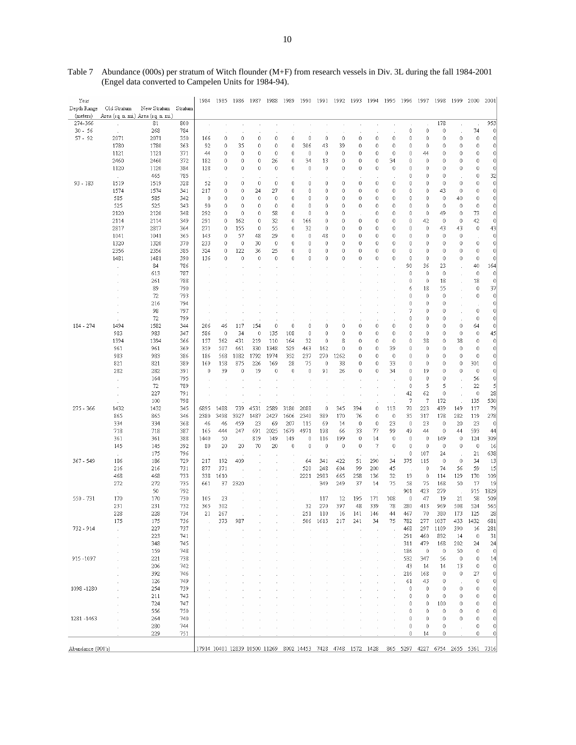| Year<br>Depth Range | Old Stratum                         | New Stratum  | Stratum    | 1984                                                         | 1985       | 1986         | 1987         | 1988          | 1989             | 1990        |                   | 1991 1992 1993 |                   | 1994                    | 1995             | - 1996                            | 1997        | 1998      | 1999                       | 2000             | 2001                    |
|---------------------|-------------------------------------|--------------|------------|--------------------------------------------------------------|------------|--------------|--------------|---------------|------------------|-------------|-------------------|----------------|-------------------|-------------------------|------------------|-----------------------------------|-------------|-----------|----------------------------|------------------|-------------------------|
| (meters)            | Area (sq. n. mi.) Area (sq. n. mi.) |              |            |                                                              |            |              |              |               |                  |             |                   |                |                   |                         |                  |                                   |             |           |                            |                  |                         |
| 274-366             |                                     | 81           | 800        |                                                              |            |              |              |               |                  |             |                   |                |                   |                         |                  |                                   |             | 178       |                            |                  | 953                     |
| $30 - 56$           |                                     | 268          | 784        |                                                              |            |              |              |               |                  |             |                   |                |                   |                         |                  | $\mathbf 0$                       | 0           | 0         | ÷.                         | 74               | 0                       |
| $57 - 92$           | 2071<br>1780                        | 2071<br>1780 | 350<br>363 | 166<br>92                                                    | 0<br>0     | 0<br>35      | 0<br>0       | 0<br>$\theta$ | 0<br>$\mathbf 0$ | 0<br>306    | $\bf 0$<br>43     | 0<br>39        | 0<br>$\mathbf 0$  | $\theta$<br>$\theta$    | 0<br>$\mathbf 0$ | 0<br>0                            | 0<br>0      | 0<br>0    | 0<br>$\theta$              | 0<br>$\mathbf 0$ | $\mathbb O$<br>$\bf{0}$ |
|                     | 1121                                | 1121         | 371        | 44                                                           | 0          | $\theta$     | 0            | 0             | 0                | 0           | $\mathbf 0$       | 0              | $\theta$          | $\theta$                | 0                | 0                                 | 44          | 0         | 0                          | 0                | $\mathbb O$             |
|                     | 2460                                | 2460         | 372        | 182                                                          | 0          | $\mathbb O$  | 0            | 26            | 0                | 34          | 13                | 0              | 0                 | $\theta$                | 34               | 0                                 | 0           | 0         | 0                          | 0                | 0                       |
|                     | 1120                                | 1120         | 384        | 128                                                          | 0          | 0            | 0            | $\mathbf 0$   | 0                | 0           | 0                 | 0              | 0                 | $\theta$                | 0                | 0                                 | 0           | 0         | 0                          | 0                | $\theta$                |
|                     |                                     | 465          | 785        |                                                              |            |              |              |               |                  |             |                   |                |                   |                         |                  | Û                                 | 0           | 0         | J.                         | 0                | 32                      |
| $93 - 183$          | 1519                                | 1519         | 328        | 52                                                           | 0          | 0            | $\mathbb O$  | $\mathbb O$   | $\mathbb O$      | 0           | 0                 | 0              | 0                 | $\theta$                | 0                | 0                                 | 0           | 0         | 0                          | 0                | $\mathbf 0$             |
|                     | 1574                                | 1574         | 341        | 217                                                          | 0          | 0            | 24           | 27            | 0                | 0           | 0                 | 0              | 0                 | $\theta$                | 0                | 0                                 | 0           | 43        | 0                          | 0                | 0                       |
|                     | 585                                 | 585          | 342        | 0                                                            | 0          | $\theta$     | 0            | $\mathbf 0$   | $\ddot{0}$       | 0           | 0                 | 0              | $\theta$          | $\theta$                | 0                | 0                                 | 0           | 0         | 40                         | 0                | 0                       |
|                     | 525                                 | 525          | 343        | 90                                                           | 0          | $\theta$     | 0            | $\mathbb O$   | $\mathbf{0}$     | 0           | 0                 | 0              | 0                 | $\theta$                | 0                | $\theta$                          | 0           | 0         | $\mathbb O$                | 0                | $\mathbf 0$             |
|                     | 2120                                | 2120         | 348        | 292                                                          | 0          | $\theta$     | 0            | 58            | 0                | 0           | 0                 | 0              |                   | $\theta$                | 0                | 0                                 | 0           | 49        | 0                          | 73               | $\pmb{0}$               |
|                     | 2114                                | 2114         | 349        | 291                                                          | 0          | 162          | 0            | 32            | 0                | 166         | 0                 | 0              | $\mathbf 0$       | $\theta$                | 0                | 0<br>0                            | 42          | 0         | 0                          | 42               | $\mathbb O$             |
|                     | 2817<br>1041                        | 2817<br>1041 | 364<br>365 | 271                                                          | 0          | 155<br>57    | 0<br>48      | 55<br>29      | 0<br>0           | 32<br>0     | $\mathbf 0$<br>48 | 0<br>0         | 0<br>0            | $\theta$<br>$\theta$    | 0<br>0           | 0                                 | 0<br>0      | 43<br>0   | 43<br>$\mathbb O$          | 0                | 43<br>0                 |
|                     | 1320                                | 1320         | 370        | 143<br>233                                                   | 0<br>0     | $\mathbf{0}$ | 30           | $\mathbf{0}$  | 0                | 0           | $\boldsymbol{0}$  | 0              | $\theta$          | $\theta$                | 0                | 0                                 | 0           | 0         | 0                          | 0                | 0                       |
|                     | 2356                                | 2356         | 385        | 324                                                          | 0          | 122          | 36           | 25            | 0                | 0           | 0                 | 0              | 0                 | $\theta$                | 0                | 0                                 | 0           | 0         | 0                          | 0                | 0                       |
|                     | 1481                                | 1481         | 390        | 136                                                          | 0          | $\theta$     | $\mathbf{0}$ | $\mathbf 0$   | $\ddot{0}$       | 0           | 0                 | 0              | 0                 | $\theta$                | 0                | 0                                 | 0           | 0         | 0                          | 0                | $\mathbf 0$             |
|                     |                                     | 84           | 786        |                                                              |            |              |              |               |                  |             |                   |                |                   |                         |                  | 90                                | 36          | 23        |                            | 40               | 164                     |
|                     |                                     | 613          | 787        |                                                              |            |              |              |               |                  |             |                   |                |                   |                         |                  | $\ddot{\phantom{0}}$              | 0           | 0         | ×                          | 0                | $\theta$                |
|                     |                                     | 261          | 788        |                                                              |            |              |              |               |                  |             |                   |                |                   |                         |                  | 0                                 | 0           | 18        | ÷                          | 18               | $\mathbf 0$             |
|                     |                                     | 89           | 790        |                                                              |            |              |              |               |                  |             |                   |                |                   |                         |                  | 6                                 | 18          | 55        |                            | 0                | 37                      |
|                     |                                     | 72           | 793        |                                                              |            |              |              |               |                  |             |                   |                |                   |                         |                  | 0                                 | 0           | 0         |                            | 0                | $\mathbf 0$             |
|                     |                                     | 216          | 794        |                                                              |            |              |              |               |                  |             |                   |                |                   |                         |                  | 0                                 | 0           | 0         |                            |                  | 0                       |
|                     |                                     | 98           | 797        |                                                              |            |              |              |               |                  |             |                   |                |                   |                         |                  | 7                                 | 0           | 0         |                            | 0                | $\mathbf 0$             |
|                     |                                     | 72           | 799        |                                                              |            |              |              |               | $\mathbf 0$      |             |                   |                |                   |                         |                  | 0<br>$\theta$                     | 0           | 0         |                            | 0                | $\mathbb O$             |
| 184 - 274           | 1494<br>983                         | 1582<br>983  | 344<br>347 | 206<br>586                                                   | 46<br>0    | 117<br>34    | 154<br>0     | 0<br>135      | 108              | 0<br>0      | 0<br>0            | 0<br>0         | 0<br>0            | $\theta$<br>$\mathbf 0$ | 0<br>0           | 0                                 | 0<br>0      | 0<br>0    | $\mathbb O$<br>$\mathbb O$ | 64<br>0          | $\mathbb O$<br>45       |
|                     | 1394                                | 1394         | 366        | 157                                                          | 362        | 431          | 219          | 110           | 164              | 32          | $\theta$          | 8              | 0                 | $\theta$                | 0                | 0                                 | 38          | 0         | 38                         | 0                | 0                       |
|                     | 961                                 | 961          | 369        | 359                                                          | 507        | 661          | 330          | 1348          | 529              | 463         | 162               | 0              | 0                 | $\theta$                | 39               | $\Omega$                          | 0           | 0         | $\mathbb O$                | 0                | $\mathbb O$             |
|                     | 983                                 | 983          | 386        | 186                                                          | 568        | 1082         | 1792         | 1974          | 352              | 237         | 270               | 1262           | $\theta$          | $\theta$                | $\mathbb O$      | 0                                 | 0           | 0         | $\mathbb O$                | $\mathbf 0$      | $\mathbf 0$             |
|                     | 821                                 | 821          | 389        | 169                                                          | 158        | 875          | 226          | 169           | 28               | 75          | $\mathbf 0$       | 38             | 0                 | $\theta$                | 33               | 0                                 | 0           | 0         | 0                          | 301              | 0                       |
|                     | 282                                 | 282          | 391        | 0                                                            | 39         | 0            | 19           | $\mathbf 0$   | 0                | 0           | 91                | 26             | 0                 | $\theta$                | 34               | 0                                 | 19          | 0         | 0                          | 0                | $\mathbf 0$             |
|                     |                                     | 164          | 795        |                                                              |            |              |              |               |                  |             |                   |                |                   |                         |                  | $\hat{0}$                         | $\mathbf 0$ | 0         |                            | 56               | $\mathbf 0$             |
|                     |                                     | 72           | 789        |                                                              |            |              |              |               |                  |             |                   |                |                   |                         |                  | $\boldsymbol{0}$                  | 5           | 5         |                            | 22               | 5                       |
|                     |                                     | 227          | 791        |                                                              |            |              |              |               |                  |             |                   |                |                   |                         |                  | 42                                | 62          | 0         |                            | 0                | 28                      |
|                     |                                     | 100          | 798        |                                                              |            |              |              |               |                  |             |                   |                |                   |                         |                  | 7                                 | 7           | 172       |                            | 135              | 530                     |
| 275 - 366           | 1432                                | 1432         | 345        | 6895                                                         | 1488       | 739          | 4531         | 2589          | 3180             | 2088        | 0                 | 345            | 394               | 0                       | 113              | 70                                | 223         | 439       | 149                        | 117              | 79                      |
|                     | 865<br>334                          | 865<br>334   | 346<br>368 | 2380<br>46                                                   | 3498<br>46 | 3927<br>459  | 1487<br>23   | 2427<br>69    | 1606<br>207      | 2340<br>115 | 389<br>69         | 170<br>14      | 76<br>$\mathbf 0$ | $\theta$<br>$\theta$    | 0<br>23          | 35<br>$\mathbf 0$                 | 317<br>23   | 178<br>0  | 282<br>20                  | 119<br>23        | 278<br>$\theta$         |
|                     | 718                                 | 718          | 387        | 165                                                          | 444        | 247          | 691          | 2025          | 1679             | 4971        | 198               | 66             | 33                | 77                      | 99               | 49                                | 44          | 0         | 44                         | 593              | 44                      |
|                     | 361                                 | 361          | 388        | 1440                                                         | 50         |              | 819          | 149           | 149              | 0           | 116               | 199            | $\mathbb O$       | 14                      | 0                | $\theta$                          | 0           | 149       | 0                          | 124              | 309                     |
|                     | 145                                 | 145          | 392        | 80                                                           | 20         | 20           | 70           | 20            | 0                | 0           | $\boldsymbol{0}$  | 0              | $\mathbf 0$       | 7                       | 0                | $\mathbf 0$                       | 0           | 0         | 0                          | $\theta$         | 16                      |
|                     |                                     | 175          | 796        |                                                              |            |              |              |               |                  |             |                   |                |                   |                         |                  | 0                                 | 107         | 24        |                            | 21               | 638                     |
| 367 - 549           | 186                                 | 186          | 729        | 217                                                          | 192        | 409          |              |               |                  | 64          | 341               | 422            | 51                | 290                     | 34               | 375                               | 115         | 0         | 0                          | 34               | 13                      |
|                     | 216                                 | 216          | 731        | 877                                                          | 371        |              |              |               |                  | 520         | 248               | 604            | 99                | 200                     | 45               |                                   | $\mathbb O$ | 74        | 56                         | 59               | 15                      |
|                     | 468                                 | 468          | 733        | 338                                                          | 1610       |              |              |               |                  | 2221        | 2983              | 665            | 258               | 136                     | 32               | 19                                | 0           | 114       | 129                        | 170              | 109                     |
|                     | 272                                 | 272          | 735        | 661                                                          | 37         | 2320         |              |               |                  |             | 349               | 249            | 37                | 14                      | 75               | 58                                | 75          | 168       | 50                         | 17               | 19                      |
|                     |                                     | 50           | 792        |                                                              |            |              |              |               |                  |             |                   |                |                   |                         |                  | 901                               | 423         | 279       |                            | 915              | 1829                    |
| 550 - 731           | 170<br>231                          | 170<br>231   | 730<br>732 | 105<br>365                                                   | 23<br>302  |              |              |               |                  | 32          | 117<br>270        | 12<br>397      | 195<br>48         | 171<br>339              | 108<br>78        | $\mathbf{0}$<br>280               | 47<br>413   | 19<br>969 | 21<br>508                  | 58<br>524        | 509<br>565              |
|                     | 228                                 | 228          | 734        | 21                                                           | 267        |              |              |               |                  | 251         | 110               | 16             | 141               | 146                     | 44               | 467                               | 70          | 380       | 173                        | 125              | 28                      |
|                     | 175                                 | 175          | 736        |                                                              | 373        | 987          |              |               |                  | 506         | 1613              | 217            | 241               | 34                      | 75               | 782                               | 277         | 1037      | 433                        | 1432             | 681                     |
| 732 - 914           |                                     | 227          | 737        |                                                              |            |              |              |               |                  |             |                   |                |                   |                         |                  | 468                               | 297         | 1109      | 390                        | 16               | 281                     |
|                     |                                     | 223          | 741        |                                                              |            |              |              |               |                  |             |                   |                |                   |                         |                  | 291                               | 460         | 892       | 14                         | 0                | 31                      |
|                     |                                     | 348          | 745        |                                                              |            |              |              |               |                  |             |                   |                |                   |                         |                  | 311                               | 479         | 168       | 202                        | 24               | 24                      |
|                     |                                     | 159          | 748        |                                                              |            |              |              |               |                  |             |                   |                |                   |                         |                  | 186                               | 0           | 0         | 50                         | 0                | $\theta$                |
| 915-1097            |                                     | 221          | 738        |                                                              |            |              |              |               |                  |             |                   |                |                   |                         |                  | 532                               | 347         | 56        | $\mathbb O$                | 0                | 14                      |
|                     |                                     | 206          | 742        |                                                              |            |              |              |               |                  |             |                   |                |                   |                         |                  | 43                                | 14          | 14        | 13                         | 0                | $\mathbb O$             |
|                     |                                     | 392          | 746        |                                                              |            |              |              |               |                  |             |                   |                |                   |                         |                  | 216                               | 168         | 0         | 0                          | 27               | $\mathbb O$             |
|                     |                                     | 126          | 749        |                                                              |            |              |              |               |                  |             |                   |                |                   |                         |                  | 61                                | 43          | 0         |                            | 0                | 0                       |
| 1098 - 1280         |                                     | 254          | 739        |                                                              |            |              |              |               |                  |             |                   |                |                   |                         |                  | 0                                 | 0           | 0         | 0                          | 0                | $\mathbf 0$             |
|                     |                                     | 211<br>724   | 743<br>747 |                                                              |            |              |              |               |                  |             |                   |                |                   |                         |                  | 0<br>0                            | 0<br>0      | 0<br>100  | 0<br>0                     | 0<br>0           | 0<br>0                  |
|                     |                                     | 556          | 750        |                                                              |            |              |              |               |                  |             |                   |                |                   |                         |                  | 0                                 | 0           | 0         | 0                          | 0                | $\mathbf 0$             |
| 1281-1463           |                                     | 264          | 740        |                                                              |            |              |              |               |                  |             |                   |                |                   |                         |                  | 0                                 | 0           | 0         | 0                          | 0                | $\mathbf 0$             |
|                     |                                     | 280          | 744        |                                                              |            |              |              |               |                  |             |                   |                |                   |                         |                  | 0                                 | 0           | 0         |                            | 0                | 0                       |
|                     |                                     | 229          | 751        |                                                              |            |              |              |               |                  |             |                   |                |                   |                         |                  | 0                                 | 14          | 0         |                            | 0                | $\mathbb O$             |
|                     |                                     |              |            |                                                              |            |              |              |               |                  |             |                   |                |                   |                         |                  |                                   |             |           |                            |                  |                         |
| Abundance (000's)   |                                     |              |            | 17914 10401 12839 10500 11269 8002 14453 7428 4748 1572 1428 |            |              |              |               |                  |             |                   |                |                   |                         |                  | 865 5297 4227 6754 2655 5361 7316 |             |           |                            |                  |                         |

Table 7 Abundance (000s) per stratum of Witch flounder (M+F) from research vessels in Div. 3L during the fall 1984-2001 (Engel data converted to Campelen Units for 1984-94).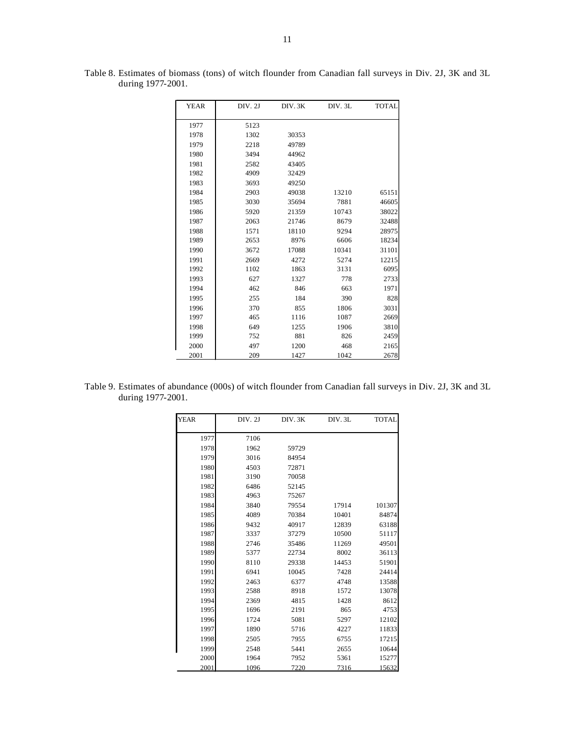| <b>YEAR</b> | DIV. 2J | DIV.3K | DIV. 3L | <b>TOTAL</b> |
|-------------|---------|--------|---------|--------------|
|             |         |        |         |              |
| 1977        | 5123    |        |         |              |
| 1978        | 1302    | 30353  |         |              |
| 1979        | 2218    | 49789  |         |              |
| 1980        | 3494    | 44962  |         |              |
| 1981        | 2582    | 43405  |         |              |
| 1982        | 4909    | 32429  |         |              |
| 1983        | 3693    | 49250  |         |              |
| 1984        | 2903    | 49038  | 13210   | 65151        |
| 1985        | 3030    | 35694  | 7881    | 46605        |
| 1986        | 5920    | 21359  | 10743   | 38022        |
| 1987        | 2063    | 21746  | 8679    | 32488        |
| 1988        | 1571    | 18110  | 9294    | 28975        |
| 1989        | 2653    | 8976   | 6606    | 18234        |
| 1990        | 3672    | 17088  | 10341   | 31101        |
| 1991        | 2669    | 4272   | 5274    | 12215        |
| 1992        | 1102    | 1863   | 3131    | 6095         |
| 1993        | 627     | 1327   | 778     | 2733         |
| 1994        | 462     | 846    | 663     | 1971         |
| 1995        | 255     | 184    | 390     | 828          |
| 1996        | 370     | 855    | 1806    | 3031         |
| 1997        | 465     | 1116   | 1087    | 2669         |
| 1998        | 649     | 1255   | 1906    | 3810         |
| 1999        | 752     | 881    | 826     | 2459         |
| 2000        | 497     | 1200   | 468     | 2165         |
| 2001        | 209     | 1427   | 1042    | 2678         |

Table 8. Estimates of biomass (tons) of witch flounder from Canadian fall surveys in Div. 2J, 3K and 3L during 1977-2001.

Table 9. Estimates of abundance (000s) of witch flounder from Canadian fall surveys in Div. 2J, 3K and 3L during 1977-2001.

| <b>YEAR</b> | DIV.2J | DIV.3K | DIV.3L | <b>TOTAL</b> |
|-------------|--------|--------|--------|--------------|
| 1977        | 7106   |        |        |              |
| 1978        | 1962   | 59729  |        |              |
| 1979        | 3016   | 84954  |        |              |
| 1980        | 4503   | 72871  |        |              |
| 1981        | 3190   | 70058  |        |              |
| 1982        | 6486   | 52145  |        |              |
| 1983        | 4963   | 75267  |        |              |
| 1984        | 3840   | 79554  | 17914  | 101307       |
| 1985        | 4089   | 70384  | 10401  | 84874        |
| 1986        | 9432   | 40917  | 12839  | 63188        |
| 1987        | 3337   | 37279  | 10500  | 51117        |
| 1988        | 2746   | 35486  | 11269  | 49501        |
| 1989        | 5377   | 22734  | 8002   | 36113        |
| 1990        | 8110   | 29338  | 14453  | 51901        |
| 1991        | 6941   | 10045  | 7428   | 24414        |
| 1992        | 2463   | 6377   | 4748   | 13588        |
| 1993        | 2588   | 8918   | 1572   | 13078        |
| 1994        | 2369   | 4815   | 1428   | 8612         |
| 1995        | 1696   | 2191   | 865    | 4753         |
| 1996        | 1724   | 5081   | 5297   | 12102        |
| 1997        | 1890   | 5716   | 4227   | 11833        |
| 1998        | 2505   | 7955   | 6755   | 17215        |
| 1999        | 2548   | 5441   | 2655   | 10644        |
| 2000        | 1964   | 7952   | 5361   | 15277        |
| 2001        | 1096   | 7220   | 7316   | 15632        |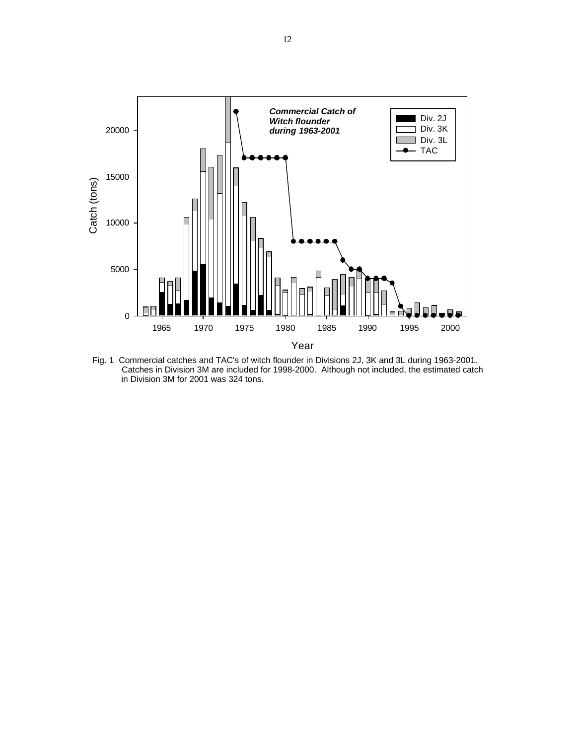

Fig. 1 Commercial catches and TAC's of witch flounder in Divisions 2J, 3K and 3L during 1963-2001. Catches in Division 3M are included for 1998-2000. Although not included, the estimated catch in Division 3M for 2001 was 324 tons.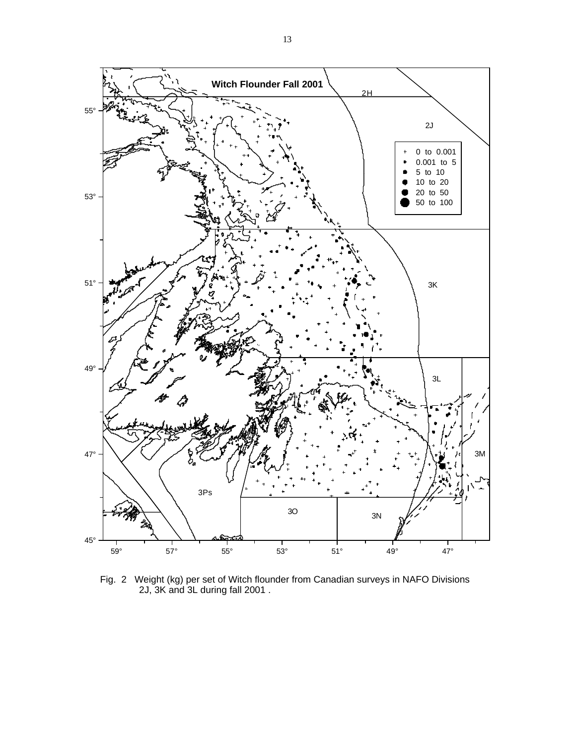

Fig. 2 Weight (kg) per set of Witch flounder from Canadian surveys in NAFO Divisions 2J, 3K and 3L during fall 2001 .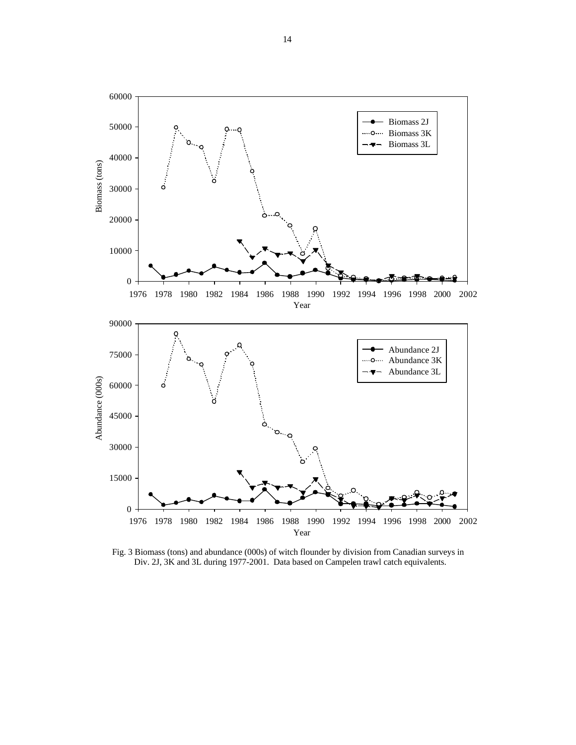

Fig. 3 Biomass (tons) and abundance (000s) of witch flounder by division from Canadian surveys in Div. 2J, 3K and 3L during 1977-2001. Data based on Campelen trawl catch equivalents.